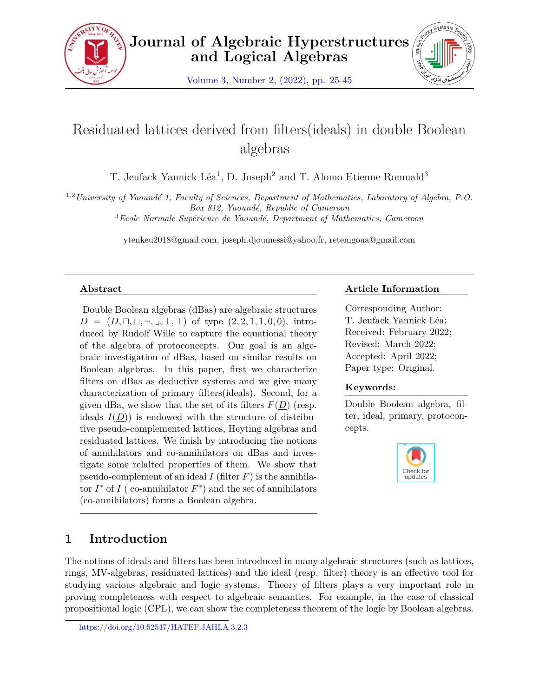



# Residuated lattices derived from filters(ideals) in double Boolean algebras

T. Jeufack Yannick Léa<sup>1</sup>, D. Joseph<sup>2</sup> and T. Alomo Etienne Romuald<sup>3</sup>

1,2*University of Yaoundé 1, Faculty of Sciences, Department of Mathematics, Laboratory of Algebra, P.O. Box 812, Yaoundé, Republic of Cameroon*

<sup>3</sup>*Ecole Normale Supérieure de Yaoundé, Department of Mathematics, Cameroon*

ytenkeu2018@gmail.com, joseph.djoumessi@yahoo.fr, retemgoua@gmail.com

# **Abstract**

Double Boolean algebras (dBas) are algebraic structures  $D = (D, \sqcap, \sqcup, \neg, \sqcup, \perp, \top)$  of type  $(2, 2, 1, 1, 0, 0)$ , introduced by Rudolf Wille to capture the equational theory of the algebra of protoconcepts. Our goal is an algebraic investigation of dBas, based on similar results on Boolean algebras. In this paper, first we characterize filters on dBas as deductive systems and we give many characterization of primary filters(ideals). Second, for a given dBa, we show that the set of its filters  $F(D)$  (resp. ideals  $I(D)$  is endowed with the structure of distributive pseudo-complemented lattices, Heyting algebras and residuated lattices. We finish by introducing the notions of annihilators and co-annihilators on dBas and investigate some relalted properties of them. We show that pseudo-complement of an ideal  $I$  (filter  $F$ ) is the annihila- $\int f(x) \, dx \, dx$  of *I* (co-annihilator  $F^*$ ) and the set of annihilators (co-annihilators) forms a Boolean algebra.

# **Article Information**

Corresponding Author: T. Jeufack Yannick Léa; Received: February 2022; Revised: March 2022; Accepted: April 2022; Paper type: Original.

# **Keywords:**

Double Boolean algebra, filter, ideal, primary, protoconcepts.



# **1 Introduction**

The notions of ideals and filters has been introduced in many algebraic structures (such as lattices, rings, MV-algebras, residuated lattices) and the ideal (resp. filter) theory is an effective tool for studying various algebraic and logic systems. Theory of filters plays a very important role in proving completeness with respect to algebraic semantics. For example, in the case of classical propositional logic (CPL), we can show the completeness theorem of the logic by Boolean algebras.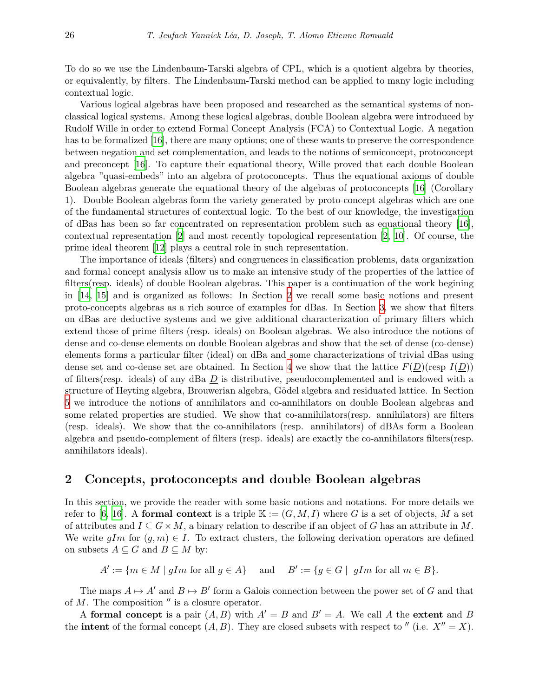To do so we use the Lindenbaum-Tarski algebra of CPL, which is a quotient algebra by theories, or equivalently, by filters. The Lindenbaum-Tarski method can be applied to many logic including contextual logic.

Various logical algebras have been proposed and researched as the semantical systems of nonclassical logical systems. Among these logical algebras, double Boolean algebra were introduced by Rudolf Wille in order to extend Formal Concept Analysis (FCA) to Contextual Logic. A negation has to be formalized [\[16](#page-20-0)], there are many options; one of these wants to preserve the correspondence between negation and set complementation, and leads to the notions of semiconcept, protoconcept and preconcept [[16\]](#page-20-0). To capture their equational theory, Wille proved that each double Boolean algebra "quasi-embeds" into an algebra of protoconcepts. Thus the equational axioms of double Boolean algebras generate the equational theory of the algebras of protoconcepts [\[16](#page-20-0)] (Corollary 1). Double Boolean algebras form the variety generated by proto-concept algebras which are one of the fundamental structures of contextual logic. To the best of our knowledge, the investigation of dBas has been so far concentrated on representation problem such as equational theory [\[16](#page-20-0)], contextual representation [\[2\]](#page-20-1) and most recently topological representation [\[2,](#page-20-1) [10\]](#page-20-2). Of course, the prime ideal theorem [\[12](#page-20-3)] plays a central role in such representation.

The importance of ideals (filters) and congruences in classification problems, data organization and formal concept analysis allow us to make an intensive study of the properties of the lattice of filters(resp. ideals) of double Boolean algebras. This paper is a continuation of the work begining in [[14,](#page-20-4) [15\]](#page-20-5) and is organized as follows: In Section [2](#page-1-0) we recall some basic notions and present proto-concepts algebras as a rich source of examples for dBas. In Section [3,](#page-6-0) we show that filters on dBas are deductive systems and we give additional characterization of primary filters which extend those of prime filters (resp. ideals) on Boolean algebras. We also introduce the notions of dense and co-dense elements on double Boolean algebras and show that the set of dense (co-dense) elements forms a particular filter (ideal) on dBa and some characterizations of trivial dBas using dense set and co-dense set are obtained. In Section [4](#page-9-0) we show that the lattice  $F(D)(\text{resp } I(D))$ of filters(resp. ideals) of any dBa *D* is distributive, pseudocomplemented and is endowed with a structure of Heyting algebra, Brouwerian algebra, Gödel algebra and residuated lattice. In Section [5](#page-16-0) we introduce the notions of annihilators and co-annihilators on double Boolean algebras and some related properties are studied. We show that co-annihilators(resp. annihilators) are filters (resp. ideals). We show that the co-annihilators (resp. annihilators) of dBAs form a Boolean algebra and pseudo-complement of filters (resp. ideals) are exactly the co-annihilators filters(resp. annihilators ideals).

# <span id="page-1-0"></span>**2 Concepts, protoconcepts and double Boolean algebras**

In this section, we provide the reader with some basic notions and notations. For more details we refer to [\[6,](#page-20-6) [16](#page-20-0)]. A **formal context** is a triple  $\mathbb{K} := (G, M, I)$  where G is a set of objects, M a set of attributes and  $I \subseteq G \times M$ , a binary relation to describe if an object of G has an attribute in M. We write  $qIm$  for  $(q, m) \in I$ . To extract clusters, the following derivation operators are defined on subsets  $A \subseteq G$  and  $B \subseteq M$  by:

 $A' := \{ m \in M \mid gIm \text{ for all } g \in A \}$  and  $B' := \{ g \in G \mid gIm \text{ for all } m \in B \}.$ 

The maps  $A \mapsto A'$  and  $B \mapsto B'$  form a Galois connection between the power set of G and that of *M*. The composition *′′* is a closure operator.

A **formal concept** is a pair  $(A, B)$  with  $A' = B$  and  $B' = A$ . We call A the extent and B the **intent** of the formal concept  $(A, B)$ . They are closed subsets with respect to  $''$  (i.e.  $X'' = X$ ).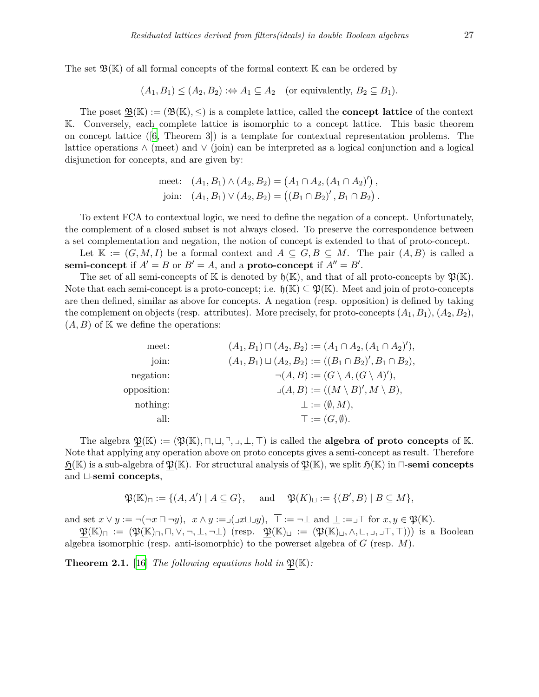The set  $\mathfrak{B}(\mathbb{K})$  of all formal concepts of the formal context  $\mathbb{K}$  can be ordered by

$$
(A_1, B_1) \le (A_2, B_2) \Rightarrow A_1 \subseteq A_2
$$
 (or equivalently,  $B_2 \subseteq B_1$ ).

The poset  $\mathfrak{B}(\mathbb{K}) := (\mathfrak{B}(\mathbb{K}), \leq)$  is a complete lattice, called the **concept lattice** of the context K. Conversely, each complete lattice is isomorphic to a concept lattice. This basic theorem on concept lattice ([[6](#page-20-6), Theorem 3]) is a template for contextual representation problems. The lattice operations *∧* (meet) and *∨* (join) can be interpreted as a logical conjunction and a logical disjunction for concepts, and are given by:

meet: 
$$
(A_1, B_1) \wedge (A_2, B_2) = (A_1 \cap A_2, (A_1 \cap A_2)')
$$
,  
join:  $(A_1, B_1) \vee (A_2, B_2) = ((B_1 \cap B_2)', B_1 \cap B_2)$ .

To extent FCA to contextual logic, we need to define the negation of a concept. Unfortunately, the complement of a closed subset is not always closed. To preserve the correspondence between a set complementation and negation, the notion of concept is extended to that of proto-concept.

Let  $\mathbb{K} := (G, M, I)$  be a formal context and  $A \subseteq G, B \subseteq M$ . The pair  $(A, B)$  is called a **semi-concept** if  $A' = B$  or  $B' = A$ , and a **proto-concept** if  $A'' = B'$ .

The set of all semi-concepts of K is denoted by  $\mathfrak{h}(\mathbb{K})$ , and that of all proto-concepts by  $\mathfrak{P}(\mathbb{K})$ . Note that each semi-concept is a proto-concept; i.e.  $\mathfrak{h}(\mathbb{K}) \subseteq \mathfrak{P}(\mathbb{K})$ . Meet and join of proto-concepts are then defined, similar as above for concepts. A negation (resp. opposition) is defined by taking the complement on objects (resp. attributes). More precisely, for proto-concepts  $(A_1, B_1), (A_2, B_2),$  $(A, B)$  of K we define the operations:

| meet:       | $(A_1, B_1) \sqcap (A_2, B_2) := (A_1 \cap A_2, (A_1 \cap A_2)'),$ |
|-------------|--------------------------------------------------------------------|
| join:       | $(A_1, B_1) \sqcup (A_2, B_2) := ((B_1 \cap B_2)', B_1 \cap B_2),$ |
| negation:   | $\neg(A,B) := (G \setminus A, (G \setminus A)'),$                  |
| opposition: | $\lrcorner (A, B) := ((M \setminus B)', M \setminus B),$           |
| nothing:    | $\bot := (\emptyset, M),$                                          |
| all:        | $\top := (G, \emptyset).$                                          |

The algebra  $\mathfrak{P}(\mathbb{K}) := (\mathfrak{P}(\mathbb{K}), \sqcap, \sqcup, \sqsupset, \sqcup, \sqsubset)$  is called the **algebra of proto concepts** of K. Note that applying any operation above on proto concepts gives a semi-concept as result. Therefore  $\mathfrak{H}(\mathbb{K})$  is a sub-algebra of  $\mathfrak{P}(\mathbb{K})$ . For structural analysis of  $\mathfrak{P}(\mathbb{K})$ , we split  $\mathfrak{H}(\mathbb{K})$  in  $\sqcap$ -semi concepts and *t*-**semi concepts**,

$$
\mathfrak{P}(\mathbb{K})_{\sqcap} := \{ (A, A') \mid A \subseteq G \}, \quad \text{and} \quad \mathfrak{P}(K)_{\sqcup} := \{ (B', B) \mid B \subseteq M \},
$$

and set  $x \lor y := \neg(\neg x \sqcap \neg y)$ ,  $x \land y := \Box(\Box x \sqcup \Box y)$ ,  $\overline{\top} := \neg \bot$  and  $\bot := \bot \top$  for  $x, y \in \mathfrak{P}(\mathbb{K})$ .

 $\mathfrak{P}(\mathbb{K})_{\square} := (\mathfrak{P}(\mathbb{K})_{\square}, \square, \vee, \neg, \bot, \neg \bot) \text{ (resp. } \mathfrak{P}(\mathbb{K})_{\square} := (\mathfrak{P}(\mathbb{K})_{\square}, \wedge, \square, \square, \square, \top, \top)) \text{ is a Boolean }$ algebra isomorphic (resp. anti-isomorphic) to the powerset algebra of *G* (resp. *M*).

<span id="page-2-0"></span>**Theorem 2.1.** [\[16](#page-20-0)] *The following equations hold in*  $\mathfrak{P}(\mathbb{K})$ *:*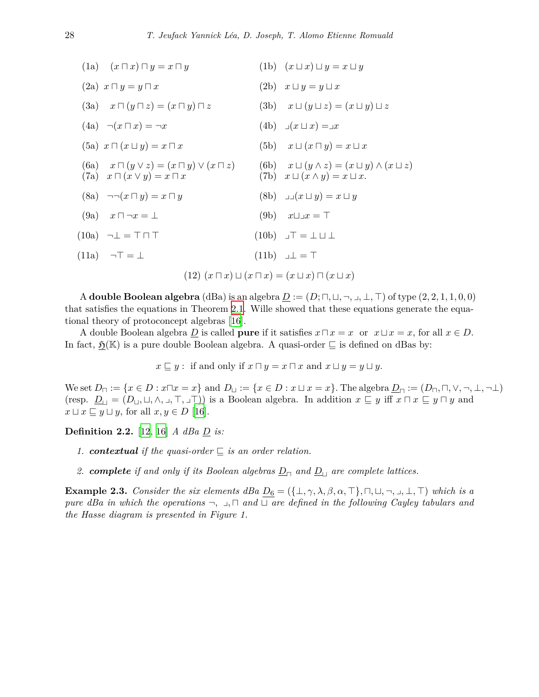| (1a) $(x \sqcap x) \sqcap y = x \sqcap y$                                                                | (1b) $(x \sqcup x) \sqcup y = x \sqcup y$                                                                      |
|----------------------------------------------------------------------------------------------------------|----------------------------------------------------------------------------------------------------------------|
| $(2a)$ $x \sqcap y = y \sqcap x$                                                                         | (2b) $x \sqcup y = y \sqcup x$                                                                                 |
| (3a) $x \sqcap (y \sqcap z) = (x \sqcap y) \sqcap z$                                                     | (3b) $x \sqcup (y \sqcup z) = (x \sqcup y) \sqcup z$                                                           |
| $(4a) \quad \neg(x \sqcap x) = \neg x$                                                                   | $(4b) \quad \Box(x \sqcup x) = \Box x$                                                                         |
| (5a) $x \sqcap (x \sqcup y) = x \sqcap x$                                                                | (5b) $x \sqcup (x \sqcap y) = x \sqcup x$                                                                      |
| (6a) $x \sqcap (y \lor z) = (x \sqcap y) \lor (x \sqcap z)$<br>$(7a)$ $x \sqcap (x \vee y) = x \sqcap x$ | (6b) $x \sqcup (y \wedge z) = (x \sqcup y) \wedge (x \sqcup z)$<br>(7b) $x \sqcup (x \wedge y) = x \sqcup x$ . |
| $(8a) \quad \neg \neg (x \sqcap y) = x \sqcap y$                                                         | $(8b)$ $\Box(x \sqcup y) = x \sqcup y$                                                                         |
| $(9a)$ $x \sqcap \neg x = \bot$                                                                          | (9b) $x \sqcup \lrcorner x = \top$                                                                             |
| $(10a) \quad \neg \bot = \top \sqcap \top$                                                               | $(10b)$ $\Box$ $\top$ = $\bot$ $\bot$                                                                          |
| $(11a) \quad \neg \top = \bot$                                                                           | $(11b)$ $\Box$ $\bot$ = T                                                                                      |
|                                                                                                          | $(12)$ $(x \sqcap x) \sqcup (x \sqcap x) = (x \sqcup x) \sqcap (x \sqcup x)$                                   |

A **double Boolean algebra** (dBa) is an algebra  $D := (D; \Pi, \Pi, \neg, \bot, \bot, \top)$  of type  $(2, 2, 1, 1, 0, 0)$ that satisfies the equations in Theorem [2.1.](#page-2-0) Wille showed that these equations generate the equational theory of protoconcept algebras [[16\]](#page-20-0).

A double Boolean algebra  $\underline{D}$  is called **pure** if it satisfies  $x \sqcap x = x$  or  $x \sqcup x = x$ , for all  $x \in D$ . In fact,  $\mathfrak{H}(\mathbb{K})$  is a pure double Boolean algebra. A quasi-order  $\sqsubseteq$  is defined on dBas by:

 $x \subseteq y$ : if and only if  $x \sqcap y = x \sqcap x$  and  $x \sqcup y = y \sqcup y$ .

We set  $D_{\square} := \{x \in D : x \square x = x\}$  and  $D_{\square} := \{x \in D : x \sqcup x = x\}$ . The algebra  $D_{\square} := (D_{\square}, \square, \vee, \neg, \bot, \neg \bot)$ (resp.  $\underline{D}_{\sqcup} = (D_{\sqcup}, \sqcup, \wedge, \sqcup, \top, \sqcup \top)$ ) is a Boolean algebra. In addition  $x \sqsubseteq y$  iff  $x \sqcap x \sqsubseteq y \sqcap y$  and  $x \sqcup x \sqsubseteq y \sqcup y$ , for all  $x, y \in D$  [\[16](#page-20-0)].

**Definition 2.2.** [[12,](#page-20-3) [16](#page-20-0)] *A dBa D is:*

- *1. contextual* if the quasi-order  $\subseteq$  is an order relation.
- *2. complete if and only if its Boolean algebras <sup>D</sup><sup>⊓</sup> and <sup>D</sup><sup>⊔</sup> are complete lattices.*

**Example 2.3.** Consider the six elements dBa  $D_6 = (\{\perp, \gamma, \lambda, \beta, \alpha, \top\}, \sqcap, \sqcup, \neg, \sqcup, \bot, \top)$  which is a *pure dBa in which the operations*  $\neg$ ,  $\Box$ ,  $\Box$  *and*  $\Box$  *are defined in the following Cayley tabulars and the Hasse diagram is presented in Figure 1.*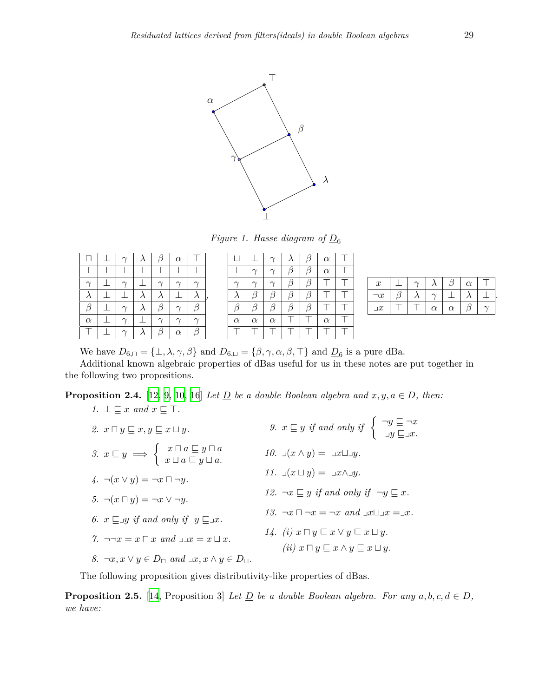

*Figure 1. Hasse diagram of*  $D_6$ 

|          |  |  | $\alpha$ |   |
|----------|--|--|----------|---|
|          |  |  |          |   |
|          |  |  |          |   |
|          |  |  |          |   |
| G        |  |  |          |   |
| $\alpha$ |  |  |          |   |
|          |  |  | $\alpha$ | ß |

| П        |          |          |   | R | $\alpha$ |  |
|----------|----------|----------|---|---|----------|--|
|          | $\gamma$ | $\gamma$ | β | β | $\alpha$ |  |
|          | $\gamma$ | $\gamma$ | β | β |          |  |
|          | ß        | ß        | β | ß |          |  |
| β        | ß        | β        | β | ß |          |  |
| $\alpha$ | $\alpha$ | $\alpha$ |   |   | $\alpha$ |  |
|          |          |          |   |   |          |  |

| $\boldsymbol{x}$ |  |          |          | $\alpha$ |  |
|------------------|--|----------|----------|----------|--|
| ¬x               |  |          |          |          |  |
| $\lrcorner x$    |  | $\alpha$ | $\alpha$ |          |  |
|                  |  |          |          |          |  |

We have  $D_{6,\square} = {\bot, \lambda, \gamma, \beta}$  and  $D_{6,\square} = {\beta, \gamma, \alpha, \beta, \top}$  and  $D_6$  is a pure dBa.

*,*

Additional known algebraic properties of dBas useful for us in these notes are put together in the following two propositions.

<span id="page-4-0"></span>**Proposition 2.4.** [\[12,](#page-20-3) [9](#page-20-7), [10,](#page-20-2) [16](#page-20-0)] *Let*  $\underline{D}$  *be a double Boolean algebra and*  $x, y, a \in D$ *, then: 1.*  $\perp \sqsubseteq x$  *and*  $x \sqsubseteq \top$ *.* 

| 2. $x \sqcap y \sqsubseteq x, y \sqsubseteq x \sqcup y$ .                                                                       | 9. $x \sqsubseteq y$ if and only if $\left\{\begin{array}{c} \neg y \sqsubseteq \neg x \\ \neg y \sqsubseteq \neg x. \end{array}\right.$ |
|---------------------------------------------------------------------------------------------------------------------------------|------------------------------------------------------------------------------------------------------------------------------------------|
| 3. $x \sqsubseteq y \implies \begin{cases} x \sqcap a \sqsubseteq y \sqcap a \\ x \sqcup a \sqsubseteq y \sqcup a. \end{cases}$ | 10. $\Box(x \wedge y) = \Box x \Box y$ .                                                                                                 |
| $\downarrow. \neg(x \vee y) = \neg x \sqcap \neg y.$                                                                            | 11. $\Box(x \sqcup y) = \Box x \land \Box y$ .                                                                                           |
| 5. $\neg(x \sqcap y) = \neg x \vee \neg y$ .                                                                                    | 12. $\neg x \sqsubseteq y$ if and only if $\neg y \sqsubseteq x$ .                                                                       |
| 6. $x \sqsubseteq y$ if and only if $y \sqsubseteq x$ .                                                                         | 13. $\neg x \sqcap \neg x = \neg x$ and $\Box x \sqcup \Box x = \Box x$ .                                                                |
| 7. $\neg\neg x = x \sqcap x$ and $\lnot x = x \sqcup x$ .                                                                       | 14. (i) $x \sqcap y \sqsubseteq x \vee y \sqsubseteq x \sqcup y$ .<br>(ii) $x \sqcap y \sqsubseteq x \wedge y \sqsubseteq x \sqcup y$ .  |
| 8. $\neg x, x \lor y \in D_{\Box}$ and $\Box x, x \land y \in D_{\Box}$ .                                                       |                                                                                                                                          |

The following proposition gives distributivity-like properties of dBas.

<span id="page-4-1"></span>**Proposition 2.5.** [[14](#page-20-4), Proposition 3] *Let*  $\underline{D}$  *be a double Boolean algebra. For any*  $a, b, c, d \in D$ *, we have:*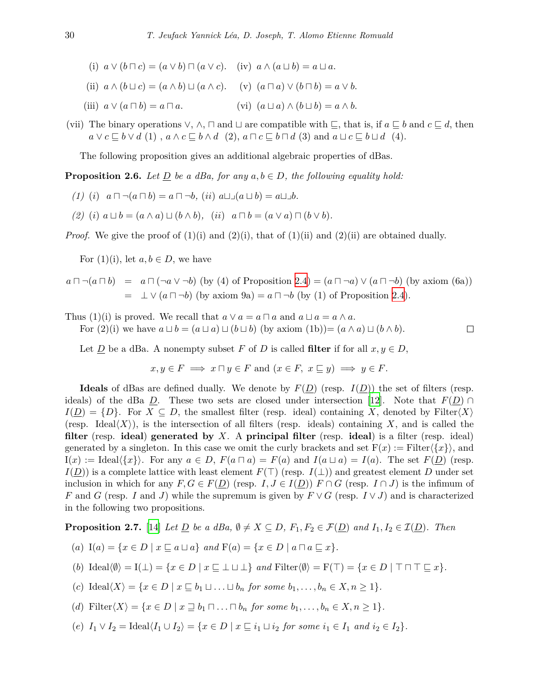- (i)  $a \lor (b \sqcap c) = (a \lor b) \sqcap (a \lor c)$ . (iv)  $a \land (a \sqcup b) = a \sqcup a$ .
- (ii)  $a \wedge (b \sqcup c) = (a \wedge b) \sqcup (a \wedge c)$ . (v)  $(a \sqcap a) \vee (b \sqcap b) = a \vee b$ .
- $(iii)$   $a \vee (a \sqcap b) = a \sqcap a$ .  $(vi)$   $(a \sqcup a) \wedge (b \sqcup b) = a \wedge b$ .
- (vii) The binary operations  $\vee$ ,  $\wedge$ ,  $\sqcap$  and  $\sqcup$  are compatible with  $\sqsubseteq$ , that is, if  $a \sqsubseteq b$  and  $c \sqsubseteq d$ , then  $a \vee c \sqsubseteq b \vee d$  (1),  $a \wedge c \sqsubseteq b \wedge d$  (2),  $a \sqcap c \sqsubseteq b \sqcap d$  (3) and  $a \sqcup c \sqsubseteq b \sqcup d$  (4).

The following proposition gives an additional algebraic properties of dBas.

**Proposition 2.6.** *Let*  $D$  *be a dBa, for any*  $a, b \in D$ *, the following equality hold:* 

- $(1)$   $(i)$   $a \sqcap \neg (a \sqcap b) = a \sqcap \neg b$ ,  $(ii)$   $a \sqcup \neg (a \sqcup b) = a \sqcup \neg b$ .
- (2) (i)  $a \sqcup b = (a \wedge a) \sqcup (b \wedge b)$ , (ii)  $a \sqcap b = (a \vee a) \sqcap (b \vee b)$ .

*Proof.* We give the proof of  $(1)(i)$  and  $(2)(i)$ , that of  $(1)(ii)$  and  $(2)(ii)$  are obtained dually.

For  $(1)(i)$ , let  $a, b \in D$ , we have

$$
a \sqcap \neg(a \sqcap b) = a \sqcap (\neg a \lor \neg b) \text{ (by (4) of Proposition 2.4)} = (a \sqcap \neg a) \lor (a \sqcap \neg b) \text{ (by axiom (6a))}
$$

$$
= \perp \lor (a \sqcap \neg b) \text{ (by axiom 9a)} = a \sqcap \neg b \text{ (by (1) of Proposition 2.4).}
$$

Thus (1)(i) is proved. We recall that  $a \lor a = a \land a$  and  $a \lor a = a \land a$ .

For  $(2)(i)$  we have  $a \sqcup b = (a \sqcup a) \sqcup (b \sqcup b)$  (by axiom  $(1b) = (a \land a) \sqcup (b \land b)$ .  $\Box$ 

Let  $\underline{D}$  be a dBa. A nonempty subset  $F$  of  $D$  is called **filter** if for all  $x, y \in D$ ,

$$
x, y \in F \implies x \sqcap y \in F
$$
 and  $(x \in F, x \sqsubseteq y) \implies y \in F$ .

**Ideals** of dBas are defined dually. We denote by  $F(D)$  (resp.  $I(D)$ ) the set of filters (resp. ideals) of the dBa *D*. These two sets are closed under intersection [[12](#page-20-3)]. Note that  $F(D) \cap$  $I(D) = \{D\}$ . For  $X \subseteq D$ , the smallest filter (resp. ideal) containing *X*, denoted by Filter $\langle X \rangle$ (resp. Ideal $\langle X \rangle$ ), is the intersection of all filters (resp. ideals) containing X, and is called the **filter** (resp. **ideal**) **generated by** *X*. A **principal filter** (resp. **ideal**) is a filter (resp. ideal) generated by a singleton. In this case we omit the curly brackets and set  $F(x) :=$  Filter $\langle \{x\} \rangle$ , and  $I(x) := \text{Ideal}\langle \{x\} \rangle$ . For any  $a \in D$ ,  $F(a \sqcap a) = F(a)$  and  $I(a \sqcup a) = I(a)$ . The set  $F(\underline{D})$  (resp.  $I(D)$  is a complete lattice with least element  $F(\top)$  (resp.  $I(\bot)$ ) and greatest element *D* under set inclusion in which for any  $F, G \in F(\underline{D})$  (resp.  $I, J \in I(\underline{D})$ )  $F \cap G$  (resp.  $I \cap J$ ) is the infimum of *F* and *G* (resp. *I* and *J*) while the supremum is given by  $F \vee G$  (resp.  $I \vee J$ ) and is characterized in the following two propositions.

<span id="page-5-0"></span>**Proposition 2.7.** [\[14\]](#page-20-4) *Let*  $\underline{D}$  *be a dBa,*  $\emptyset \neq X \subseteq D$ ,  $F_1, F_2 \in \mathcal{F}(\underline{D})$  *and*  $I_1, I_2 \in \mathcal{I}(\underline{D})$ *. Then* 

- (a)  $I(a) = \{x \in D \mid x \sqsubseteq a \sqcup a\}$  and  $F(a) = \{x \in D \mid a \sqcap a \sqsubseteq x\}.$
- (b)  $\text{Ideal}(\emptyset) = I(\bot) = \{x \in D \mid x \sqsubset \bot \sqcup \bot\}$  and  $\text{Filter}(\emptyset) = F(\top) = \{x \in D \mid \top \sqcap \top \sqsubset x\}.$
- (c)  $\text{Ideal}\langle X \rangle = \{x \in D \mid x \sqsubset b_1 \sqcup ... \sqcup b_n \text{ for some } b_1, ..., b_n \in X, n \geq 1\}.$
- (d) Filter $\langle X \rangle = \{x \in D \mid x \sqsupset b_1 \sqcap ... \sqcap b_n \text{ for some } b_1, ..., b_n \in X, n \geq 1\}.$
- (e)  $I_1 \vee I_2 = \text{Ideal}\langle I_1 \cup I_2 \rangle = \{x \in D \mid x \sqsubseteq i_1 \sqcup i_2 \text{ for some } i_1 \in I_1 \text{ and } i_2 \in I_2\}.$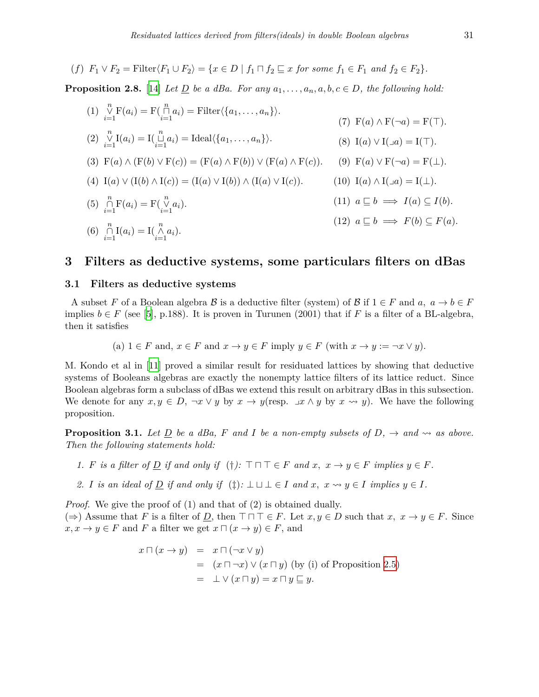(f) 
$$
F_1 \vee F_2 = \text{Filter}\langle F_1 \cup F_2 \rangle = \{x \in D \mid f_1 \sqcap f_2 \sqsubseteq x \text{ for some } f_1 \in F_1 \text{ and } f_2 \in F_2\}.
$$

<span id="page-6-2"></span>**Proposition 2.8.** [\[14\]](#page-20-4) *Let*  $D$  *be a dBa. For any*  $a_1, \ldots, a_n, a, b, c \in D$ *, the following hold:* 

 $(1)$   $\mathop{\vee}\limits_{i=1}^{n} \mathrm{F}(a_i) = \mathrm{F}(\mathop{\cap}\limits_{i=1}^{n} a_i) = \mathrm{Filter}\langle \{a_1, \ldots, a_n\} \rangle.$  $(2)$   $\mathop{\vee}\limits_{i=1}^{n} I(a_i) = I(\mathop{\sqcup}\limits_{i=1}^{n} a_i) = \text{Ideal}\langle\{a_1, \ldots, a_n\}\rangle.$ (3)  $F(a) ∧ (F(b) ∨ F(c)) = (F(a) ∧ F(b)) ∨ (F(a) ∧ F(c)).$  (9)  $F(a) ∨ F(\neg a) = F(⊥).$ (4)  $I(a) \lor (I(b) \land I(c)) = (I(a) \lor I(b)) \land (I(a) \lor I(c)).$ (5)  $\bigcap_{i=1}^{n} \mathbf{F}(a_i) = \mathbf{F}(\bigvee_{i=1}^{n} a_i).$ (6)  $\prod_{i=1}^{n} I(a_i) = I(\bigwedge_{i=1}^{n} a_i).$  $(F)$   $F(a) \wedge F(\neg a) = F(\top).$ (8) I(*a*)  $\vee$  I( $\exists$ *a*) = I( $\top$ ).  $(10) \text{ I}(a) \wedge \text{I}(\Box a) = \text{I}(\bot).$  $(11)$   $a \sqsubseteq b \implies I(a) \subseteq I(b).$  $(12)$   $a \sqsubseteq b \implies F(b) \subseteq F(a)$ .

# <span id="page-6-0"></span>**3 Filters as deductive systems, some particulars filters on dBas**

#### **3.1 Filters as deductive systems**

A subset *F* of a Boolean algebra *B* is a deductive filter (system) of *B* if  $1 \in F$  and  $a, a \to b \in F$ implies  $b \in F$  (see [\[5\]](#page-20-8), p.188). It is proven in Turunen (2001) that if *F* is a filter of a BL-algebra, then it satisfies

(a) 
$$
1 \in F
$$
 and,  $x \in F$  and  $x \to y \in F$  imply  $y \in F$  (with  $x \to y := \neg x \lor y$ ).

M. Kondo et al in [\[11](#page-20-9)] proved a similar result for residuated lattices by showing that deductive systems of Booleans algebras are exactly the nonempty lattice filters of its lattice reduct. Since Boolean algebras form a subclass of dBas we extend this result on arbitrary dBas in this subsection. We denote for any  $x, y \in D$ ,  $\neg x \lor y$  by  $x \to y$  (resp.  $\Box x \land y$  by  $x \leadsto y$ ). We have the following proposition.

<span id="page-6-1"></span>**Proposition 3.1.** *Let*  $D$  *be a dBa,*  $F$  *and*  $I$  *be a non-empty subsets of*  $D$ *,*  $\rightarrow$  *and*  $\rightsquigarrow$  *as above. Then the following statements hold:*

- *1. F is a filter of*  $D$  *if and only if* (*†*):  $\top \top \top \in F$  *and*  $x, x \to y \in F$  *implies*  $y \in F$ *.*
- *2. I is an ideal of D if and only if*  $(\ddagger)$ :  $\perp \sqcup \perp \in I$  *and*  $x, x \rightsquigarrow y \in I$  *implies*  $y \in I$ *.*

*Proof.* We give the proof of (1) and that of (2) is obtained dually. (⇒) Assume that *F* is a filter of *D*, then  $\top \top \top \in F$ . Let  $x, y \in D$  such that  $x, x \rightarrow y \in F$ . Since  $x, x \rightarrow y \in F$  and *F* a filter we get  $x \sqcap (x \rightarrow y) \in F$ , and

$$
x \sqcap (x \to y) = x \sqcap (\neg x \lor y)
$$
  
=  $(x \sqcap \neg x) \lor (x \sqcap y)$  (by (i) of Proposition 2.5)  
=  $\perp \lor (x \sqcap y) = x \sqcap y \sqsubseteq y$ .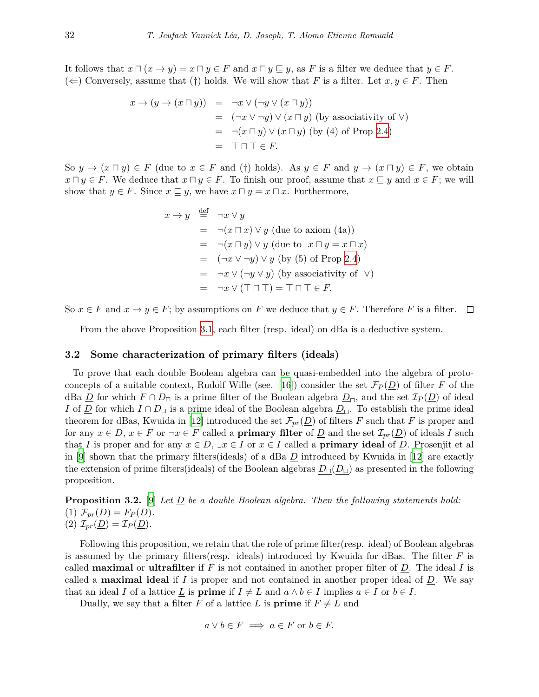It follows that  $x \sqcap (x \to y) = x \sqcap y \in F$  and  $x \sqcap y \sqsubseteq y$ , as F is a filter we deduce that  $y \in F$ .  $(\Leftarrow)$  Conversely, assume that (*†*) holds. We will show that *F* is a filter. Let *x*, *y* ∈ *F*. Then

$$
x \to (y \to (x \sqcap y)) = \neg x \lor (\neg y \lor (x \sqcap y))
$$
  
= 
$$
(\neg x \lor \neg y) \lor (x \sqcap y)
$$
 (by associativity of  $\lor$ )  
= 
$$
\neg (x \sqcap y) \lor (x \sqcap y)
$$
 (by (4) of Prop 2.4)  
= 
$$
\top \sqcap \top \in F.
$$

So  $y \to (x \sqcap y) \in F$  (due to  $x \in F$  and (†) holds). As  $y \in F$  and  $y \to (x \sqcap y) \in F$ , we obtain *x*  $\Box y$  *∈ F*. We deduce that *x*  $\Box y$  *∈ F*. To finish our proof, assume that *x*  $\subseteq y$  and *x*  $\in$  *F*; we will show that  $y \in F$ . Since  $x \subseteq y$ , we have  $x \sqcap y = x \sqcap x$ . Furthermore,

$$
x \to y \stackrel{\text{def}}{=} \neg x \lor y
$$
  
=  $\neg(x \sqcap x) \lor y$  (due to axiom (4a))  
=  $\neg(x \sqcap y) \lor y$  (due to  $x \sqcap y = x \sqcap x$ )  
=  $(\neg x \lor \neg y) \lor y$  (by (5) of Prop 2.4)  
=  $\neg x \lor (\neg y \lor y)$  (by associativity of  $\lor$ )  
=  $\neg x \lor (\top \sqcap \top) = \top \sqcap \top \in F$ .

So  $x \in F$  and  $x \to y \in F$ ; by assumptions on *F* we deduce that  $y \in F$ . Therefore *F* is a filter.  $\Box$ 

From the above Proposition [3.1,](#page-6-1) each filter (resp. ideal) on dBa is a deductive system.

#### **3.2 Some characterization of primary filters (ideals)**

To prove that each double Boolean algebra can be quasi-embedded into the algebra of proto-concepts of a suitable context, Rudolf Wille (see. [[16\]](#page-20-0)) consider the set  $\mathcal{F}_P(\underline{D})$  of filter *F* of the dBa  $\underline{D}$  for which  $F \cap D_{\square}$  is a prime filter of the Boolean algebra  $\underline{D}_{\square}$ , and the set  $\mathcal{I}_P(\underline{D})$  of ideal *I* of *D* for which *I* ∩ *D*<sub>*⊔*</sub> is a prime ideal of the Boolean algebra  $D_{\text{L}}$ . To establish the prime ideal theorem for dBas, Kwuida in [[12](#page-20-3)] introduced the set  $\mathcal{F}_{pr}(\underline{D})$  of filters *F* such that *F* is proper and for any  $x \in D$ ,  $x \in F$  or  $\neg x \in F$  called a **primary filter** of  $D$  and the set  $\mathcal{I}_{pr}(D)$  of ideals *I* such that *I* is proper and for any  $x \in D$ ,  $x \in I$  or  $x \in I$  called a **primary ideal** of  $D$ . Prosenjit et all in [[9\]](#page-20-7) shown that the primary filters(ideals) of a dBa *D* introduced by Kwuida in [\[12](#page-20-3)] are exactly the extension of prime filters(ideals) of the Boolean algebras *D⊓*(*D⊔*) as presented in the following proposition.

**Proposition 3.2.** [\[9](#page-20-7)] *Let D be a double Boolean algebra. Then the following statements hold:*  $(T)$   $\mathcal{F}_{pr}(\underline{D}) = F_P(\underline{D}).$  $(2)$   $\mathcal{I}_{pr}(\underline{D}) = \mathcal{I}_{P}(\underline{D}).$ 

Following this proposition, we retain that the role of prime filter(resp. ideal) of Boolean algebras is assumed by the primary filters(resp. ideals) introduced by Kwuida for dBas. The filter *F* is called **maximal** or **ultrafilter** if  $F$  is not contained in another proper filter of  $D$ . The ideal  $I$  is called a **maximal ideal** if  $I$  is proper and not contained in another proper ideal of  $D$ . We say that an ideal *I* of a lattice <u>*L*</del> is **prime** if  $I \neq L$  and  $a \wedge b \in I$  implies  $a \in I$  or  $b \in I$ .</u>

Dually, we say that a filter *F* of a lattice  $L$  is **prime** if  $F \neq L$  and

$$
a \lor b \in F \implies a \in F \text{ or } b \in F.
$$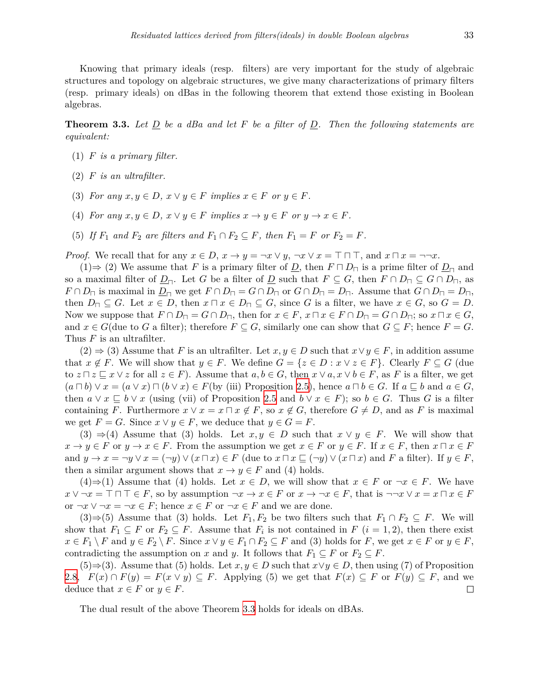Knowing that primary ideals (resp. filters) are very important for the study of algebraic structures and topology on algebraic structures, we give many characterizations of primary filters (resp. primary ideals) on dBas in the following theorem that extend those existing in Boolean algebras.

<span id="page-8-0"></span>**Theorem 3.3.** *Let D be a dBa and let F be a filter of D. Then the following statements are equivalent:*

- (1) *F is a primary filter.*
- (2) *F is an ultrafilter.*
- (3) For any  $x, y \in D$ ,  $x \vee y \in F$  implies  $x \in F$  or  $y \in F$ .
- (4) For any  $x, y \in D$ ,  $x \vee y \in F$  implies  $x \rightarrow y \in F$  or  $y \rightarrow x \in F$ .
- (5) If  $F_1$  and  $F_2$  are filters and  $F_1 \cap F_2 \subseteq F$ , then  $F_1 = F$  or  $F_2 = F$ .

*Proof.* We recall that for any  $x \in D$ ,  $x \to y = \neg x \lor y$ ,  $\neg x \lor x = \top \sqcap \top$ , and  $x \sqcap x = \neg \neg x$ .

(1) $\Rightarrow$  (2) We assume that *F* is a primary filter of *D*, then  $F \sqcap D_{\sqcap}$  is a prime filter of  $D_{\sqcap}$  and so a maximal filter of  $\underline{D}_{\square}$ . Let *G* be a filter of  $\underline{D}$  such that  $F \subseteq G$ , then  $F \cap D_{\square} \subseteq G \cap D_{\square}$ , as  $F \cap D_{\square}$  is maximal in  $\underline{D}_{\square}$  we get  $F \cap D_{\square} = G \cap D_{\square}$  or  $G \cap D_{\square} = D_{\square}$ . Assume that  $G \cap D_{\square} = D_{\square}$ , then  $D_{\square} \subseteq G$ . Let  $x \in D$ , then  $x \square x \in D_{\square} \subseteq G$ , since G is a filter, we have  $x \in G$ , so  $G = D$ . Now we suppose that  $F \cap D_{\square} = G \cap D_{\square}$ , then for  $x \in F$ ,  $x \square x \in F \cap D_{\square} = G \cap D_{\square}$ ; so  $x \square x \in G$ , and  $x \in G$  (due to G a filter); therefore  $F \subseteq G$ , similarly one can show that  $G \subseteq F$ ; hence  $F = G$ . Thus *F* is an ultrafilter.

(2)  $\Rightarrow$  (3) Assume that *F* is an ultrafilter. Let *x*, *y* ∈ *D* such that  $x \lor y \in F$ , in addition assume that  $x \notin F$ . We will show that  $y \in F$ . We define  $G = \{z \in D : x \vee z \in F\}$ . Clearly  $F \subseteq G$  (due to  $z \sqcap z \sqsubseteq x \vee z$  for all  $z \in F$ ). Assume that  $a, b \in G$ , then  $x \vee a, x \vee b \in F$ , as F is a filter, we get  $(a \sqcap b) \lor x = (a \lor x) \sqcap (b \lor x) \in F$  (by (iii) Proposition [2.5\)](#page-4-1), hence  $a \sqcap b \in G$ . If  $a \sqsubseteq b$  and  $a \in G$ , then  $a \lor x \subseteq b \lor x$  (using (vii) of Proposition [2.5](#page-4-1) and  $b \lor x \in F$ ); so  $b \in G$ . Thus *G* is a filter containing *F*. Furthermore  $x \vee x = x \sqcap x \notin F$ , so  $x \notin G$ , therefore  $G \neq D$ , and as *F* is maximal we get  $F = G$ . Since  $x \lor y \in F$ , we deduce that  $y \in G = F$ .

(3)  $\Rightarrow$  (4) Assume that (3) holds. Let  $x, y \in D$  such that  $x \vee y \in F$ . We will show that  $x \to y \in F$  or  $y \to x \in F$ . From the assumption we get  $x \in F$  or  $y \in F$ . If  $x \in F$ , then  $x \sqcap x \in F$ and  $y \to x = \neg y \lor x = (\neg y) \lor (x \sqcap x) \in F$  (due to  $x \sqcap x \sqsubseteq (\neg y) \lor (x \sqcap x)$ ) and F a filter). If  $y \in F$ , then a similar argument shows that  $x \to y \in F$  and (4) holds.

(4)⇒(1) Assume that (4) holds. Let  $x \in D$ , we will show that  $x \in F$  or  $\neg x \in F$ . We have  $x \vee \neg x = \top \sqcap \top \in F$ , so by assumption  $\neg x \rightarrow x \in F$  or  $x \rightarrow \neg x \in F$ , that is  $\neg\neg x \vee x = x \sqcap x \in F$ or  $\neg x \lor \neg x = \neg x \in F$ ; hence  $x \in F$  or  $\neg x \in F$  and we are done.

(3)⇒(5) Assume that (3) holds. Let  $F_1, F_2$  be two filters such that  $F_1 \cap F_2 \subseteq F$ . We will show that  $F_1 \subseteq F$  or  $F_2 \subseteq F$ . Assume that  $F_i$  is not contained in  $F$   $(i = 1, 2)$ , then there exist  $x \in F_1 \setminus F$  and  $y \in F_2 \setminus F$ . Since  $x \vee y \in F_1 \cap F_2 \subseteq F$  and (3) holds for F, we get  $x \in F$  or  $y \in F$ , contradicting the assumption on *x* and *y*. It follows that  $F_1 \subseteq F$  or  $F_2 \subseteq F$ .

(5)⇒(3). Assume that (5) holds. Let  $x, y \in D$  such that  $x \lor y \in D$ , then using (7) of Proposition [2.8,](#page-6-2)  $F(x) \cap F(y) = F(x \vee y) \subseteq F$ . Applying (5) we get that  $F(x) \subseteq F$  or  $F(y) \subseteq F$ , and we deduce that  $x \in F$  or  $y \in F$ .  $\Box$ 

The dual result of the above Theorem [3.3](#page-8-0) holds for ideals on dBAs.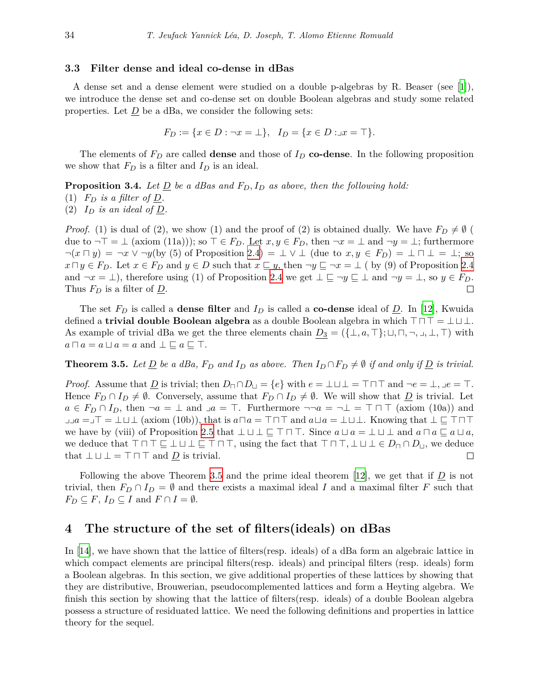#### **3.3 Filter dense and ideal co-dense in dBas**

A dense set and a dense element were studied on a double p-algebras by R. Beaser (see [[1\]](#page-20-10)), we introduce the dense set and co-dense set on double Boolean algebras and study some related properties. Let  $\underline{D}$  be a dBa, we consider the following sets:

$$
F_D := \{ x \in D : \neg x = \bot \}, \quad I_D = \{ x \in D : \exists x = \top \}.
$$

The elements of  $F<sub>D</sub>$  are called **dense** and those of  $I<sub>D</sub>$  **co-dense**. In the following proposition we show that  $F_D$  is a filter and  $I_D$  is an ideal.

**Proposition 3.4.** Let  $\underline{D}$  be a dBas and  $F_D$ ,  $I_D$  as above, then the following hold:

- (1)  $F_D$  *is a filter of*  $\underline{D}$ *.*
- (2)  $I_D$  *is an ideal of*  $\underline{D}$ .

*Proof.* (1) is dual of (2), we show (1) and the proof of (2) is obtained dually. We have  $F_D \neq \emptyset$  ( due to  $\neg$  *⊤* = *⊥* (axiom (11a))); so *⊤* ∈ *F*<sub>*D*</sub>. Let *x*, *y* ∈ *F*<sub>*D*</sub>, then  $\neg$ *x* = *⊥* and  $\neg$ *y* = *⊥*; furthermore  $\neg(x \sqcap y) = \neg x \vee \neg y$  (by (5) of Proposition [2.4](#page-4-0)) = ⊥  $\vee$  ⊥ (due to  $x, y \in F_D$ ) = ⊥  $\sqcap$  ⊥ = ⊥; so  $x \sqcap y \in F_D$ . Let  $x \in F_D$  and  $y \in D$  such that  $x \sqsubseteq y$ , then  $\neg y \sqsubseteq \neg x = \bot$  (by (9) of Proposition [2.4](#page-4-0) and  $\neg x = \bot$ ), therefore using (1) of Proposition [2.4](#page-4-0) we get  $\bot \sqsubseteq \neg y \sqsubseteq \bot$  and  $\neg y = \bot$ , so  $y \in F_D$ . Thus  $F_D$  is a filter of  $\underline{D}$ . П

The set  $F_D$  is called a **dense filter** and  $I_D$  is called a **co-dense** ideal of  $D$ . In [[12\]](#page-20-3), Kwuida defined a **trivial double Boolean algebra** as a double Boolean algebra in which  $\top \cap \top = \bot \sqcup \bot$ . As example of trivial dBa we get the three elements chain  $D_3 = (\{\perp, a, \top\}; \sqcup, \sqcap, \neg, \sqcup, \bot, \top)$  with  $a \sqcap a = a \sqcup a = a$  and  $\bot \sqsubseteq a \sqsubseteq \top$ .

<span id="page-9-1"></span>**Theorem 3.5.** Let <u>D</u> be a dBa,  $F_D$  and  $I_D$  as above. Then  $I_D \cap F_D \neq \emptyset$  if and only if <u>D</u> is trivial.

*Proof.* Assume that  $\underline{D}$  is trivial; then  $D_{\square} \cap D_{\square} = \{e\}$  with  $e = \bot \sqcup \bot = \top \sqcap \top$  and  $\neg e = \bot, \bot e = \top$ . Hence  $F_D \cap I_D \neq \emptyset$ . Conversely, assume that  $F_D \cap I_D \neq \emptyset$ . We will show that  $\underline{D}$  is trivial. Let  $a \in F_D \cap I_D$ , then  $\neg a = \bot$  and  $\Box a = \top$ . Furthermore  $\neg \neg a = \neg \bot = \top \sqcap \top$  (axiom (10a)) and ⌟⌟*a* =⌟*>* = *⊥t⊥* (axiom (10b)), that is *aua* = *>u>* and *ata* = *⊥t⊥*. Knowing that *⊥ v >u>* we have by (viii) of Proposition [2.5](#page-4-1) that  $\bot \sqcup \bot \sqsubseteq \top \sqcap \top$ . Since  $a \sqcup a = \bot \sqcup \bot$  and  $a \sqcap a \sqsubseteq a \sqcup a$ , we deduce that  $\top \sqcap \top \sqsubseteq \bot \sqcup \bot \sqsubseteq \top \sqcap \top$ , using the fact that  $\top \sqcap \top, \bot \sqcup \bot \in D_{\sqcap} \cap D_{\sqcup}$ , we deduce that  $\bot \sqcup \bot = \top \sqcap \top$  and *D* is trivial. that  $\bot \sqcup \bot = \top \sqcap \top$  and *D* is trivial.

Following the above Theorem [3.5](#page-9-1) and the prime ideal theorem [[12\]](#page-20-3), we get that if *D* is not trivial, then  $F_D \cap I_D = \emptyset$  and there exists a maximal ideal *I* and a maximal filter *F* such that  $F_D \subseteq F$ ,  $I_D \subseteq I$  and  $F \cap I = \emptyset$ .

## <span id="page-9-0"></span>**4 The structure of the set of filters(ideals) on dBas**

In [\[14](#page-20-4)], we have shown that the lattice of filters(resp. ideals) of a dBa form an algebraic lattice in which compact elements are principal filters(resp. ideals) and principal filters (resp. ideals) form a Boolean algebras. In this section, we give additional properties of these lattices by showing that they are distributive, Brouwerian, pseudocomplemented lattices and form a Heyting algebra. We finish this section by showing that the lattice of filters(resp. ideals) of a double Boolean algebra possess a structure of residuated lattice. We need the following definitions and properties in lattice theory for the sequel.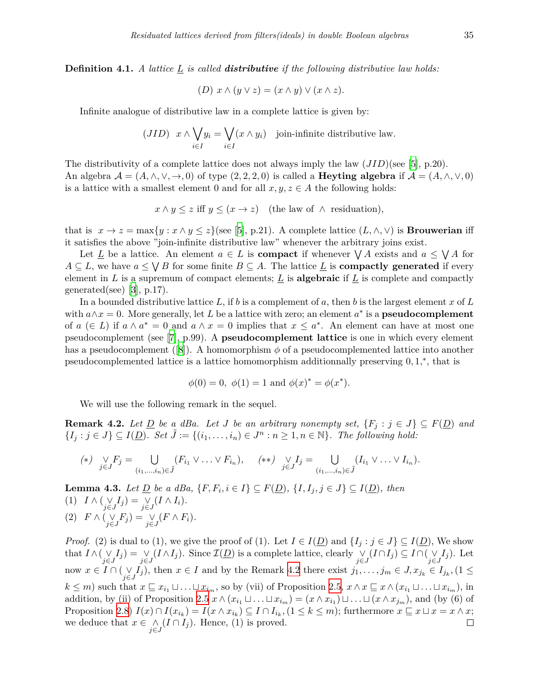**Definition 4.1.** *A lattice L is called distributive if the following distributive law holds:*

$$
(D) x \wedge (y \vee z) = (x \wedge y) \vee (x \wedge z).
$$

Infinite analogue of distributive law in a complete lattice is given by:

$$
(JID) \t x \wedge \bigvee_{i \in I} y_i = \bigvee_{i \in I} (x \wedge y_i) \t joint infinite distributive law.
$$

The distributivity of a complete lattice does not always imply the law (*JID*)(see [[5](#page-20-8)], p.20). An algebra  $\mathcal{A} = (A, \wedge, \vee, \rightarrow, 0)$  of type  $(2, 2, 2, 0)$  is called a **Heyting algebra** if  $\mathcal{A} = (A, \wedge, \vee, 0)$ is a lattice with a smallest element 0 and for all  $x, y, z \in A$  the following holds:

$$
x \wedge y \leq z
$$
 iff  $y \leq (x \to z)$  (the law of  $\wedge$  residualation),

that is  $x \to z = \max\{y : x \wedge y \leq z\}$  (see [[5](#page-20-8)], p.21). A complete lattice  $(L, \wedge, \vee)$  is **Brouwerian** iff it satisfies the above "join-infinite distributive law" whenever the arbitrary joins exist.

Let  $\underline{L}$  be a lattice. An element  $a \in L$  is **compact** if whenever  $\bigvee A$  exists and  $a \leq \bigvee A$  for  $A \subseteq L$ , we have  $a \leq \bigvee B$  for some finite  $B \subseteq A$ . The lattice  $\underline{L}$  is **compactly generated** if every element in L is a supremum of compact elements;  $L$  is **algebraic** if  $L$  is complete and compactly generated(see) [[3](#page-20-11)],  $p.17$ ).

In a bounded distributive lattice L, if b is a complement of a, then b is the largest element x of L with  $a \wedge x = 0$ . More generally, let *L* be a lattice with zero; an element  $a^*$  is a **pseudocomplement** of  $a \in L$  if  $a \wedge a^* = 0$  and  $a \wedge x = 0$  implies that  $x \leq a^*$ . An element can have at most one pseudocomplement (see [[7](#page-20-12)], p.99). A **pseudocomplement lattice** is one in which every element has a pseudocomplement ([[8](#page-20-13)]). A homomorphism  $\phi$  of a pseudocomplemented lattice into another pseudocomplemented lattice is a lattice homomorphism additionnally preserving 0*,* 1*, ∗* , that is

$$
\phi(0) = 0
$$
,  $\phi(1) = 1$  and  $\phi(x)^* = \phi(x^*)$ .

We will use the following remark in the sequel.

<span id="page-10-0"></span>**Remark 4.2.** *Let*  $\underline{D}$  *be a dBa. Let J be an arbitrary nonempty set,*  $\{F_j : j \in J\} \subseteq F(\underline{D})$  *and*  $\{I_j : j \in J\} \subseteq I(\underline{D})$ . Set  $\tilde{J} := \{(i_1, \ldots, i_n) \in J^n : n \geq 1, n \in \mathbb{N}\}\$ . The following hold:

$$
(*)\quad \bigvee_{j\in J} F_j = \bigcup_{(i_1,\ldots,i_n)\in \tilde{J}} (F_{i_1}\vee \ldots \vee F_{i_n}), \quad (*)\quad \vee_{j\in J} I_j = \bigcup_{(i_1,\ldots,i_n)\in \tilde{J}} (I_{i_1}\vee \ldots \vee I_{i_n}).
$$

<span id="page-10-1"></span>**Lemma 4.3.** Let  $\underline{D}$  be a dBa,  $\{F, F_i, i \in I\} \subseteq F(\underline{D}), \{I, I_j, j \in J\} \subseteq I(\underline{D}),$  then (1) *I ∧* ( *∨ j∈J*  $I_j$ ) =  $\gamma$ *j∈J*  $(I \wedge I_i).$ (2) *F ∧* ( *∨ j∈J*  $(F_j) = V_j$ *j∈J*  $(F \wedge F_i).$ 

*Proof.* (2) is dual to (1), we give the proof of (1). Let  $I \in I(\underline{D})$  and  $\{I_j : j \in J\} \subseteq I(\underline{D})$ , We show that *I ∧*( *∨*  $I_j$ ) =  $\gamma$  $(I \wedge I_j)$ . Since  $\mathcal{I}(\underline{D})$  is a complete lattice, clearly *∨*  $(I ∩ I_j) ⊆ I ∩ (V_j)$  $I_j$ ). Let *j∈J j∈J j∈J j∈J* now *x ∈ I ∩* ( *∨*  $\bigvee_{j\in J} I_j$ , then  $x \in I$  and by the Remark [4.2](#page-10-0) there exist  $j_1, \ldots, j_m \in J, x_{j_k} \in I_{j_k}, (1 \le j_k)$  $k \leq m$ ) such that  $x \subseteq x_{i_1} \sqcup \ldots \sqcup x_{i_m}$ , so by (vii) of Proposition [2.5,](#page-4-1)  $x \wedge x \subseteq x \wedge (x_{i_1} \sqcup \ldots \sqcup x_{i_m})$ , in addition, by (ii) of Proposition [2.5](#page-4-1)  $x \wedge (x_{i_1} \sqcup \ldots \sqcup x_{i_m}) = (x \wedge x_{i_1}) \sqcup \ldots \sqcup (x \wedge x_{j_m})$ , and (by (6) of Proposition [2.8](#page-6-2))  $I(x) \cap I(x_{i_k}) = I(x \wedge x_{i_k}) \subseteq I \cap I_{i_k}, (1 \leq k \leq m)$ ; furthermore  $x \sqsubseteq x \sqcup x = x \wedge x$ ; we deduce that  $x \in \Lambda$  $(I \cap I_j)$ . Hence,  $(1)$  is proved.  $\Box$ *j∈J*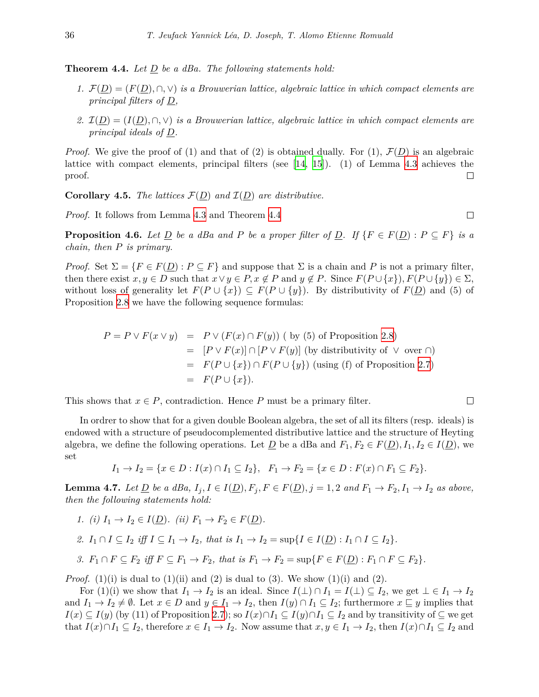<span id="page-11-0"></span>**Theorem 4.4.** *Let D be a dBa. The following statements hold:*

- *1.*  $F(\underline{D}) = (F(\underline{D}), ∩, ∨)$  *is a Brouwerian lattice, algebraic lattice in which compact elements are principal filters of D,*
- 2.  $I(D) = (I(D), \cap, \vee)$  *is a Brouwerian lattice, algebraic lattice in which compact elements are principal ideals of D.*

*Proof.* We give the proof of (1) and that of (2) is obtained dually. For (1),  $\mathcal{F}(D)$  is an algebraic lattice with compact elements, principal filters (see [[14,](#page-20-4) [15](#page-20-5)]). (1) of Lemma [4.3](#page-10-1) achieves the proof.  $\Box$ 

**Corollary 4.5.** *The lattices*  $\mathcal{F}(\underline{D})$  *and*  $\mathcal{I}(\underline{D})$  *are distributive.* 

*Proof.* It follows from Lemma [4.3](#page-10-1) and Theorem [4.4](#page-11-0)

**Proposition 4.6.** Let <u>D</u> be a dBa and P be a proper filter of D. If  $\{F \in F(\underline{D}) : P \subseteq F\}$  is a *chain, then P is primary.*

 $\Box$ 

 $\Box$ 

*Proof.* Set  $\Sigma = \{F \in F(\underline{D}) : P \subseteq F\}$  and suppose that  $\Sigma$  is a chain and *P* is not a primary filter, then there exist  $x, y \in D$  such that  $x \lor y \in P$ ,  $x \notin P$  and  $y \notin P$ . Since  $F(P \cup \{x\})$ ,  $F(P \cup \{y\}) \in \Sigma$ , without loss of generality let  $F(P \cup \{x\}) \subseteq F(P \cup \{y\})$ . By distributivity of  $F(D)$  and (5) of Proposition [2.8](#page-6-2) we have the following sequence formulas:

$$
P = P \vee F(x \vee y) = P \vee (F(x) \cap F(y)) \quad \text{(by (5) of Proposition 2.8)}
$$
\n
$$
= [P \vee F(x)] \cap [P \vee F(y)] \quad \text{(by distributivity of } \vee \text{ over } \cap)
$$
\n
$$
= F(P \cup \{x\}) \cap F(P \cup \{y\}) \quad \text{(using (f) of Proposition 2.7)}
$$
\n
$$
= F(P \cup \{x\}).
$$

This shows that  $x \in P$ , contradiction. Hence *P* must be a primary filter.

In ordrer to show that for a given double Boolean algebra, the set of all its filters (resp. ideals) is endowed with a structure of pseudocomplemented distributive lattice and the structure of Heyting algebra, we define the following operations. Let  $\underline{D}$  be a dBa and  $F_1, F_2 \in F(\underline{D}), I_1, I_2 \in I(\underline{D})$ , we set

$$
I_1 \to I_2 = \{x \in D : I(x) \cap I_1 \subseteq I_2\}, \quad F_1 \to F_2 = \{x \in D : F(x) \cap F_1 \subseteq F_2\}.
$$

<span id="page-11-1"></span>**Lemma 4.7.** Let  $\underline{D}$  be a dBa,  $I_j$ ,  $I \in I(\underline{D})$ ,  $F_j$ ,  $F \in F(\underline{D})$ ,  $j = 1, 2$  and  $F_1 \rightarrow F_2$ ,  $I_1 \rightarrow I_2$  as above, *then the following statements hold:*

*1.*  $(i) I_1 \to I_2 \in I(D)$ *.*  $(ii) F_1 \to F_2 \in F(D)$ *.* 

2. 
$$
I_1 \cap I \subseteq I_2
$$
 iff  $I \subseteq I_1 \rightarrow I_2$ , that is  $I_1 \rightarrow I_2 = \sup \{I \in I(\underline{D}) : I_1 \cap I \subseteq I_2\}$ .

3.  $F_1 \cap F \subseteq F_2$  iff  $F \subseteq F_1 \to F_2$ , that is  $F_1 \to F_2 = \sup\{F \in F(\underline{D}) : F_1 \cap F \subseteq F_2\}.$ 

*Proof.* (1)(i) is dual to (1)(ii) and (2) is dual to (3). We show (1)(i) and (2).

For  $(1)(i)$  we show that  $I_1 \to I_2$  is an ideal. Since  $I(\perp) \cap I_1 = I(\perp) \subseteq I_2$ , we get  $\perp \in I_1 \to I_2$ and  $I_1 \to I_2 \neq \emptyset$ . Let  $x \in D$  and  $y \in I_1 \to I_2$ , then  $I(y) \cap I_1 \subseteq I_2$ ; furthermore  $x \sqsubseteq y$  implies that *I*(*x*)  $\subseteq$  *I*(*y*) (by (11) of Proposition [2.7](#page-5-0)); so *I*(*x*)∩*I*<sub>1</sub>  $\subseteq$  *I*(*y*)∩*I*<sub>1</sub>  $\subseteq$  *I*<sub>2</sub> and by transitivity of  $\subseteq$  we get that  $I(x) \cap I_1 \subseteq I_2$ , therefore  $x \in I_1 \to I_2$ . Now assume that  $x, y \in I_1 \to I_2$ , then  $I(x) \cap I_1 \subseteq I_2$  and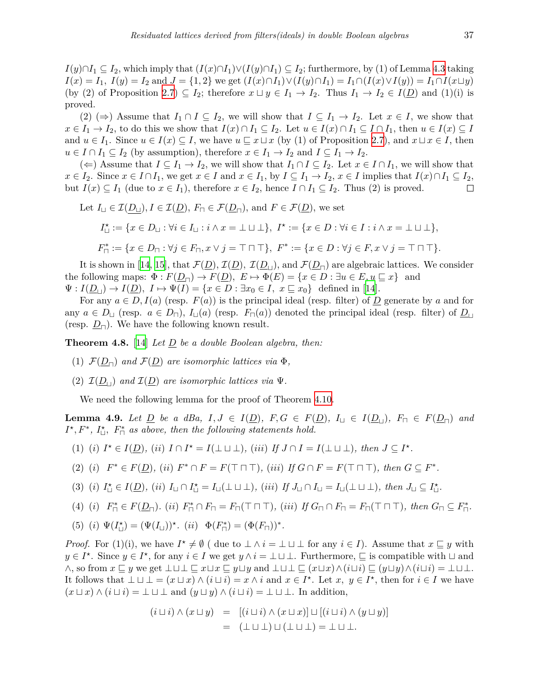(2)  $(\Rightarrow)$  Assume that  $I_1 \cap I \subseteq I_2$ , we will show that  $I \subseteq I_1 \rightarrow I_2$ . Let  $x \in I$ , we show that  $x \in I_1 \to I_2$ , to do this we show that  $I(x) \cap I_1 \subseteq I_2$ . Let  $u \in I(x) \cap I_1 \subseteq I \cap I_1$ , then  $u \in I(x) \subseteq I$ and  $u \in I_1$ . Since  $u \in I(x) \subseteq I$ , we have  $u \subseteq x \sqcup x$  (by (1) of Proposition [2.7](#page-5-0)), and  $x \sqcup x \in I$ , then  $u \in I \cap I_1 \subseteq I_2$  (by assumption), therefore  $x \in I_1 \to I_2$  and  $I \subseteq I_1 \to I_2$ .

(←) Assume that  $I \subseteq I_1 \to I_2$ , we will show that  $I_1 \cap I \subseteq I_2$ . Let  $x \in I \cap I_1$ , we will show that  $x \in I_2$ . Since  $x \in I \cap I_1$ , we get  $x \in I$  and  $x \in I_1$ , by  $I \subseteq I_1 \to I_2$ ,  $x \in I$  implies that  $I(x) \cap I_1 \subseteq I_2$ , but *I*(*x*) ⊆ *I*<sub>1</sub> (due to *x* ∈ *I*<sub>1</sub>), therefore *x* ∈ *I*<sub>2</sub>, hence *I* ∩ *I*<sub>1</sub> ⊆ *I*<sub>2</sub>. Thus (2) is proved.  $\Box$ 

Let 
$$
I_{\sqcup} \in \mathcal{I}(\underline{D}_{\sqcup}), I \in \mathcal{I}(\underline{D}), F_{\sqcap} \in \mathcal{F}(\underline{D}_{\sqcap}),
$$
 and  $F \in \mathcal{F}(\underline{D})$ , we set  
\n $I_{\sqcup}^{\star} := \{x \in D_{\sqcup} : \forall i \in I_{\sqcup} : i \wedge x = \bot \sqcup \bot\}, F^{\star} := \{x \in D : \forall i \in I : i \wedge x = \bot \sqcup \bot\},$   
\n $F_{\sqcap}^{\ast} := \{x \in D_{\sqcap} : \forall j \in F_{\sqcap}, x \vee j = \top \sqcap \top\}, F^{\ast} := \{x \in D : \forall j \in F, x \vee j = \top \sqcap \top\}.$ 

It is shown in [\[14](#page-20-4), [15\]](#page-20-5), that  $\mathcal{F}(\underline{D})$ ,  $\mathcal{I}(\underline{D})$ ,  $\mathcal{I}(\underline{D}_\perp)$ , and  $\mathcal{F}(\underline{D}_\square)$  are algebraic lattices. We consider the following maps:  $\Phi: F(D_{\Box}) \to F(D), E \mapsto \Phi(E) = \{x \in D : \exists u \in E, u \sqsubseteq x\}$  and  $\Psi: I(\underline{D}_{\vert \vert}) \to I(\underline{D}), \ I \mapsto \Psi(I) = \{x \in D : \exists x_0 \in I, \ x \sqsubseteq x_0\}$  defined in [\[14](#page-20-4)].

For any  $a \in D, I(a)$  (resp.  $F(a)$ ) is the principal ideal (resp. filter) of *D* generate by *a* and for any  $a \in D_$ *u* (resp.  $a \in D_$ T),  $I_$ <sup>[</sup>(a)) (resp.  $F_$ T\_(a)) denoted the principal ideal (resp. filter) of  $D_$ <sup>[</sup> (resp.  $D_{\square}$ ). We have the following known result.

<span id="page-12-1"></span>**Theorem 4.8.** [\[14](#page-20-4)] *Let D be a double Boolean algebra, then:*

- (1)  $\mathcal{F}(D_{\square})$  *and*  $\mathcal{F}(D)$  *are isomorphic lattices via*  $\Phi$ *,*
- (2)  $\mathcal{I}(\underline{D}_\perp)$  *and*  $\mathcal{I}(\underline{D})$  *are isomorphic lattices via*  $\Psi$ *.*

We need the following lemma for the proof of Theorem [4.10.](#page-13-0)

<span id="page-12-0"></span>**Lemma 4.9.** Let  $\underline{D}$  be a dBa,  $I, J \in I(\underline{D})$ ,  $F, G \in F(\underline{D})$ ,  $I_{\sqcup} \in I(\underline{D}_{\sqcap})$ ,  $F_{\sqcap} \in F(\underline{D}_{\sqcap})$  and  $I^{\star}, F^{\ast}, I_{\square}^{\star}, F^{\ast}$  *as above, then the following statements hold.* 

- (1) (i)  $I^* \in I(\underline{D})$ , (ii)  $I \cap I^* = I(\bot \sqcup \bot)$ , (iii) If  $J \cap I = I(\bot \sqcup \bot)$ , then  $J \subseteq I^*$ .
- (2) (i)  $F^* \in F(\underline{D})$ , (ii)  $F^* \cap F = F(\top \cap \top)$ , (iii) If  $G \cap F = F(\top \cap \top)$ , then  $G \subseteq F^*$ .
- (3) (i)  $I_{\sqcup}^{\star} \in I(\underline{D})$ , (ii)  $I_{\sqcup} \cap I_{\sqcup}^{\star} = I_{\sqcup}(\bot \sqcup \bot)$ , (iii) If  $J_{\sqcup} \cap I_{\sqcup} = I_{\sqcup}(\bot \sqcup \bot)$ , then  $J_{\sqcup} \subseteq I_{\sqcup}^{\star}$ .
- (4) (i)  $F_{\sqcap}^* \in F(\underline{D}_{\sqcap}).$  (ii)  $F_{\sqcap}^* \cap F_{\sqcap} = F_{\sqcap}(\top \sqcap \top),$  (iii) If  $G_{\sqcap} \cap F_{\sqcap} = F_{\sqcap}(\top \sqcap \top),$  then  $G_{\sqcap} \subseteq F_{\sqcap}^*$ .
- (5) (*i*)  $\Psi(I_{\sqcup}^{*}) = (\Psi(I_{\sqcup}))^{*}$ . (*ii*)  $\Phi(F_{\sqcap}^{*}) = (\Phi(F_{\sqcap}))^{*}$ .

*Proof.* For (1)(i), we have  $I^* \neq \emptyset$  ( due to  $\bot \wedge i = \bot \sqcup \bot$  for any  $i \in I$ ). Assume that  $x \sqsubseteq y$  with  $y \in I^*$ . Since  $y \in I^*$ , for any  $i \in I$  we get  $y \wedge i = \bot \sqcup \bot$ . Furthermore,  $\sqsubseteq$  is compatible with  $\sqcup$  and  $\wedge$ , so from  $x \sqsubseteq y$  we get  $\perp \sqcup \perp \sqsubseteq x \sqcup x \sqsubseteq y \sqcup y$  and  $\perp \sqcup \perp \sqsubseteq (x \sqcup x) \wedge (i \sqcup i) \sqsubseteq (y \sqcup y) \wedge (i \sqcup i) = \perp \sqcup \perp$ . It follows that  $\bot \sqcup \bot = (x \sqcup x) \land (i \sqcup i) = x \land i$  and  $x \in I^*$ . Let  $x, y \in I^*$ , then for  $i \in I$  we have  $(x \sqcup x) \wedge (i \sqcup i) = \bot \sqcup \bot$  and  $(y \sqcup y) \wedge (i \sqcup i) = \bot \sqcup \bot$ . In addition,

$$
(i \sqcup i) \land (x \sqcup y) = [(i \sqcup i) \land (x \sqcup x)] \sqcup [(i \sqcup i) \land (y \sqcup y)]
$$
  
= 
$$
(\perp \sqcup \perp) \sqcup (\perp \sqcup \perp) = \perp \sqcup \perp.
$$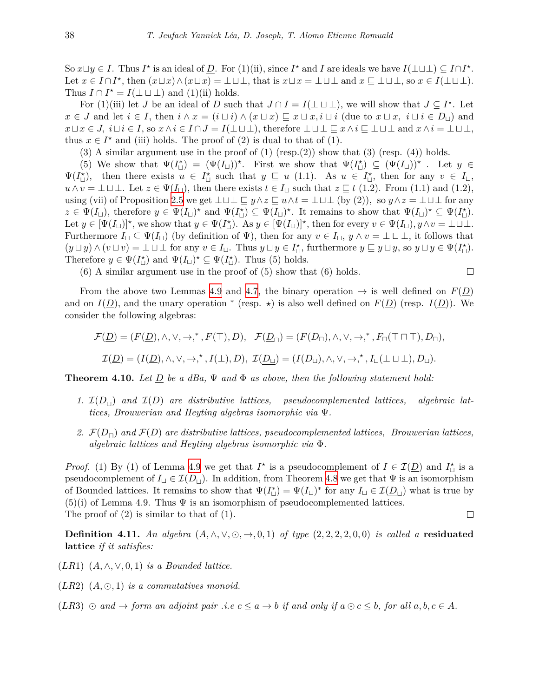So  $x \sqcup y \in I$ . Thus  $I^*$  is an ideal of  $\underline{D}$ . For  $(1)(ii)$ , since  $I^*$  and I are ideals we have  $I(\perp \sqcup \perp) \subseteq I \cap I^*$ . Let  $x \in I \cap I^*$ , then  $(x \sqcup x) \wedge (x \sqcup x) = \bot \sqcup \bot$ , that is  $x \sqcup x = \bot \sqcup \bot$  and  $x \sqsubseteq \bot \sqcup \bot$ , so  $x \in I(\bot \sqcup \bot)$ . Thus  $I \cap I^* = I(\perp \sqcup \perp)$  and (1)(ii) holds.

For (1)(iii) let *J* be an ideal of <u>D</u> such that  $J \cap I = I(\perp \sqcup \perp)$ , we will show that  $J \subseteq I^*$ . Let  $x \in J$  and let  $i \in I$ , then  $i \wedge x = (i \sqcup i) \wedge (x \sqcup x) \sqsubseteq x \sqcup x$ ,  $i \sqcup i$  (due to  $x \sqcup x$ ,  $i \sqcup i \in D_{\sqcup}$ ) and  $x \sqcup x \in J$ ,  $i \sqcup i \in I$ , so  $x \wedge i \in I \cap J = I(\perp \sqcup \perp)$ , therefore  $\perp \sqcup \perp \sqsubseteq x \wedge i \sqsubseteq \perp \sqcup \perp$  and  $x \wedge i = \perp \sqcup \perp$ , thus  $x \in I^*$  and (iii) holds. The proof of (2) is dual to that of (1).

(3) A similar argument use in the proof of  $(1)$  (resp. $(2)$ ) show that  $(3)$  (resp.  $(4)$ ) holds.

(5) We show that  $\Psi(I_{\sqcup}^*) = (\Psi(I_{\sqcup}))^*$ . First we show that  $\Psi(I_{\sqcup}^*) \subseteq (\Psi(I_{\sqcup}))^*$ . Let  $y \in$  $\Psi(I_{\sqcup}^{\star})$ , then there exists  $u \in I_{\sqcup}^{\star}$  such that  $y \sqsubseteq u$  (1.1). As  $u \in I_{\sqcup}^{\star}$ , then for any  $v \in I_{\sqcup}$ , *u* ∧ *v* = ⊥  $\perp$  ⊥. Let  $z \in \Psi(I_{\sqcup})$ , then there exists  $t \in I_{\sqcup}$  such that  $z \subseteq t$  (1.2). From (1.1) and (1.2), using (vii) of Proposition [2.5](#page-4-1) we get  $\bot \sqcup \bot \sqsubseteq y \land z \sqsubseteq u \land t = \bot \sqcup \bot$  (by (2)), so  $y \land z = \bot \sqcup \bot$  for any  $z \in \Psi(I_{\sqcup})$ , therefore  $y \in \Psi(I_{\sqcup})^*$  and  $\Psi(I_{\sqcup}) \subseteq \Psi(I_{\sqcup})^*$ . It remains to show that  $\Psi(I_{\sqcup})^* \subseteq \Psi(I_{\sqcup}^*)$ . Let  $y \in [\Psi(I_{\sqcup})]^{\star}$ , we show that  $y \in \Psi(I_{\sqcup})$ . As  $y \in [\Psi(I_{\sqcup})]^{\star}$ , then for every  $v \in \Psi(I_{\sqcup})$ ,  $y \wedge v = \perp \sqcup \perp$ . Furthermore  $I_{\sqcup} \subseteq \Psi(I_{\sqcup})$  (by definition of  $\Psi$ ), then for any  $v \in I_{\sqcup}$ ,  $y \wedge v = \bot \sqcup \bot$ , it follows that  $(y \sqcup y) \wedge (v \sqcup v) = \bot \sqcup \bot$  for any  $v \in I_{\sqcup}$ . Thus  $y \sqcup y \in I_{\sqcup}^{\star}$ , furthermore  $y \sqsubseteq y \sqcup y$ , so  $y \sqcup y \in \Psi(I_{\sqcup}^{\star})$ . Therefore  $y \in \Psi(I_{\sqcup}^{\star})$  and  $\Psi(I_{\sqcup})^{\star} \subseteq \Psi(I_{\sqcup}^{\star})$ . Thus (5) holds.

(6) A similar argument use in the proof of (5) show that (6) holds.

 $\Box$ 

From the above two Lemmas [4.9](#page-12-0) and [4.7](#page-11-1), the binary operation  $\rightarrow$  is well defined on  $F(D)$ and on  $I(\underline{D})$ , and the unary operation <sup>\*</sup> (resp.  $\star$ ) is also well defined on  $F(\underline{D})$  (resp.  $I(\underline{D})$ ). We consider the following algebras:

$$
\mathcal{F}(\underline{D}) = (F(\underline{D}), \wedge, \vee, \rightarrow, ^*, F(\top), D), \quad \mathcal{F}(\underline{D}_{\sqcap}) = (F(D_{\sqcap}), \wedge, \vee, \rightarrow, ^*, F_{\sqcap}(\top \sqcap \top), D_{\sqcap}),
$$
  

$$
\mathcal{I}(\underline{D}) = (I(\underline{D}), \wedge, \vee, \rightarrow, ^*, I(\bot), D), \quad \mathcal{I}(\underline{D}_{\sqcup}) = (I(D_{\sqcup}), \wedge, \vee, \rightarrow, ^*, I_{\sqcup}(\bot \sqcup \bot), D_{\sqcup}).
$$

<span id="page-13-0"></span>**Theorem 4.10.** *Let D be a dBa,* Ψ *and* Φ *as above, then the following statement hold:*

- *1.*  $I(D_₁)$  *and*  $I(D)$  *are distributive lattices, pseudocomplemented lattices, algebraic lattices, Brouwerian and Heyting algebras isomorphic via* Ψ*.*
- *2. <sup>F</sup>*(*D⊓*) *and <sup>F</sup>*(*D*) *are distributive lattices, pseudocomplemented lattices, Brouwerian lattices, algebraic lattices and Heyting algebras isomorphic via* Φ*.*

*Proof.* (1) By (1) of Lemma [4.9](#page-12-0) we get that  $I^*$  is a pseudocomplement of  $I \in \mathcal{I}(\underline{D})$  and  $I^*_{\sqcup}$  is a pseudocomplement of  $I_{\sqcup} \in \mathcal{I}(\underline{D}_{\sqcup})$ . In addition, from Theorem [4.8](#page-12-1) we get that  $\Psi$  is an isomorphism of Bounded lattices. It remains to show that  $\Psi(I^*_{\sqcup}) = \Psi(I_{\sqcup})^*$  for any  $I_{\sqcup} \in \mathcal{I}(\underline{D}_{\sqcup})$  what is true by  $(5)(i)$  of Lemma 4.9. Thus  $\Psi$  is an isomorphism of pseudocomplemented lattices. The proof of (2) is similar to that of (1).  $\Box$ 

**Definition 4.11.** An algebra  $(A, \wedge, \vee, \odot, \rightarrow, 0, 1)$  of type  $(2, 2, 2, 2, 0, 0)$  is called a residuated **lattice** *if it satisfies:*

- (*LR*1)  $(A, \wedge, \vee, 0, 1)$  *is a Bounded lattice.*
- $(LR2)$   $(A, \odot, 1)$  *is a commutatives monoid.*
- $(LR3) \odot and \rightarrow form$  an adjoint pair .i.e  $c \leq a \rightarrow b$  if and only if  $a \odot c \leq b$ , for all  $a, b, c \in A$ .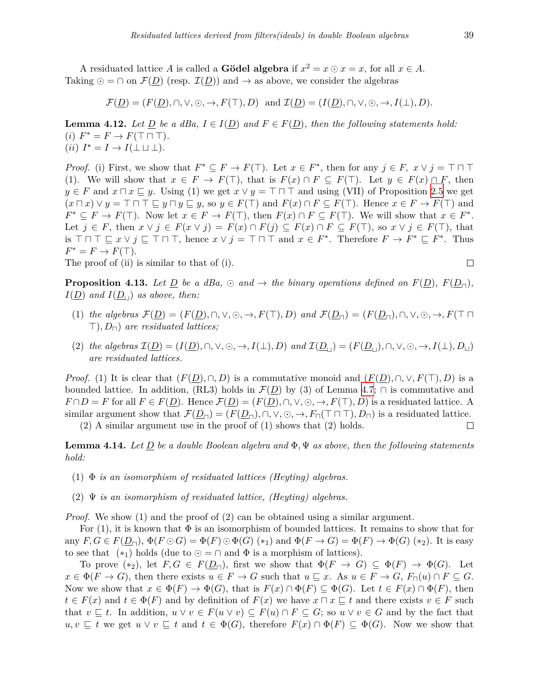A residuated lattice *A* is called a **Gödel algebra** if  $x^2 = x \odot x = x$ , for all  $x \in A$ . Taking  $\odot$  =  $\cap$  on  $\mathcal{F}(D)$  (resp.  $\mathcal{I}(D)$ ) and  $\rightarrow$  as above, we consider the algebras

$$
\mathcal{F}(\underline{D}) = (F(\underline{D}), \cap, \vee, \odot, \rightarrow, F(\top), D) \text{ and } \mathcal{I}(\underline{D}) = (I(\underline{D}), \cap, \vee, \odot, \rightarrow, I(\bot), D).
$$

**Lemma 4.12.** *Let*  $\underline{D}$  *be a dBa,*  $I \in I(\underline{D})$  *and*  $F \in F(\underline{D})$ *, then the following statements hold:*  $(i)$   $F^* = F \rightarrow F(\top \sqcap \top).$  $(iii) I^* = I \rightarrow I(\perp \sqcup \perp).$ 

*Proof.* (i) First, we show that  $F^* \subseteq F \to F(\top)$ . Let  $x \in F^*$ , then for any  $j \in F$ ,  $x \vee j = \top \sqcap \top$ (1). We will show that  $x \in F \to F(\top)$ , that is  $F(x) \cap F \subseteq F(\top)$ . Let  $y \in F(x) \cap F$ , then  $y \in F$  and  $x \sqcap x \sqsubseteq y$ . Using (1) we get  $x \lor y = \top \sqcap \top$  and using (VII) of Proposition [2.5](#page-4-1) we get  $(x \sqcap x) \lor y = \top \sqcap \top \sqsubseteq y \sqcap y \sqsubseteq y$ , so  $y \in F(\top)$  and  $F(x) \cap F \subseteq F(\top)$ . Hence  $x \in F \to F(\top)$  and  $F^* \subseteq F \to F(\top)$ . Now let  $x \in F \to F(\top)$ , then  $F(x) \cap F \subseteq F(\top)$ . We will show that  $x \in F^*$ . Let  $j \in F$ , then  $x \vee j \in F(x \vee j) = F(x) \cap F(j) \subseteq F(x) \cap F \subseteq F(\top)$ , so  $x \vee j \in F(\top)$ , that is  $\top \sqcap \top \sqsubseteq x \vee j \sqsubseteq \top \sqcap \top$ , hence  $x \vee j = \top \sqcap \top$  and  $x \in F^*$ . Therefore  $F \to F^* \sqsubseteq F^*$ . Thus  $F^* = F \rightarrow F(\top).$  $\Box$ 

The proof of (ii) is similar to that of (i).

<span id="page-14-0"></span>**Proposition 4.13.** Let D be a dBa,  $\odot$  and  $\rightarrow$  the binary operations defined on  $F(D)$ ,  $F(D_{\Box})$ ,  $I(\underline{D})$  *and*  $I(\underline{D}_{\perp})$  *as above, then:* 

- (1) the algebras  $\mathcal{F}(D) = (F(D), \cap, \vee, \odot, \rightarrow, F(\top), D)$  and  $\mathcal{F}(D_{\square}) = (F(D_{\square}), \cap, \vee, \odot, \rightarrow, F(\top \square))$ *>*)*, D⊓*) *are residuated lattices;*
- (2) the algebras  $\mathcal{I}(D) = (I(D), \cap, \vee, \odot, \rightarrow, I(\perp), D)$  and  $\mathcal{I}(D_{\square}) = (F(D_{\square}), \cap, \vee, \odot, \rightarrow, I(\perp), D_{\square})$ *are residuated lattices.*

*Proof.* (1) It is clear that  $(F(D), \cap, D)$  is a commutative monoid and  $(F(D), \cap, \vee, F(\top), D)$  is a bounded lattice. In addition, (RL3) holds in  $\mathcal{F}(D)$  by (3) of Lemma [4.7;](#page-11-1)  $\cap$  is commutative and  $F \cap D = F$  for all  $F \in F(\underline{D})$ . Hence  $\mathcal{F}(\underline{D}) = (F(\underline{D}), \cap, \vee, \odot, \rightarrow, F(\top), D)$  is a residuated lattice. A similar argument show that  $\mathcal{F}(\underline{D}_{\square}) = (F(\underline{D}_{\square}), \cap, \vee, \odot, \rightarrow, F_{\square}(\top \square \top), D_{\square})$  is a residuated lattice.<br>(2) A similar argument use in the proof of (1) shows that (2) holds.

(2) A similar argument use in the proof of (1) shows that (2) holds.

<span id="page-14-1"></span>**Lemma 4.14.** *Let D be a double Boolean algebra and* Φ*,* Ψ *as above, then the following statements hold:*

- (1) Φ *is an isomorphism of residuated lattices (Heyting) algebras.*
- (2) Ψ *is an isomorphism of residuated lattice, (Heyting) algebras.*

*Proof.* We show (1) and the proof of (2) can be obtained using a similar argument.

For (1), it is known that  $\Phi$  is an isomorphism of bounded lattices. It remains to show that for any  $F, G \in F(\underline{D}_{\square}), \Phi(F \odot G) = \Phi(F) \odot \Phi(G)$  (\*1) and  $\Phi(F \rightarrow G) = \Phi(F) \rightarrow \Phi(G)$  (\*2). It is easy to see that  $(*_1)$  holds (due to  $\odot = \cap$  and  $\Phi$  is a morphism of lattices).

To prove  $(*_2)$ , let  $F, G \in F(\underline{D}_{\Box})$ , first we show that  $\Phi(F \to G) \subseteq \Phi(F) \to \Phi(G)$ . Let  $x \in \Phi(F \to G)$ , then there exists  $u \in F \to G$  such that  $u \sqsubseteq x$ . As  $u \in F \to G$ ,  $F_{\sqcap}(u) \cap F \subseteq G$ . Now we show that  $x \in \Phi(F) \to \Phi(G)$ , that is  $F(x) \cap \Phi(F) \subseteq \Phi(G)$ . Let  $t \in F(x) \cap \Phi(F)$ , then  $t \in F(x)$  and  $t \in \Phi(F)$  and by definition of  $F(x)$  we have  $x \sqcap x \sqsubseteq t$  and there exists  $v \in F$  such that  $v \subseteq t$ . In addition,  $u \vee v \in F(u \vee v) \subseteq F(u) \cap F \subseteq G$ ; so  $u \vee v \in G$  and by the fact that *u, v*  $\subseteq$  *t* we get *u*  $\vee$  *v*  $\subseteq$  *t* and *t*  $\in$   $\Phi$ (*G*), therefore *F*(*x*) ∩  $\Phi$ (*F*)  $\subseteq$   $\Phi$ (*G*). Now we show that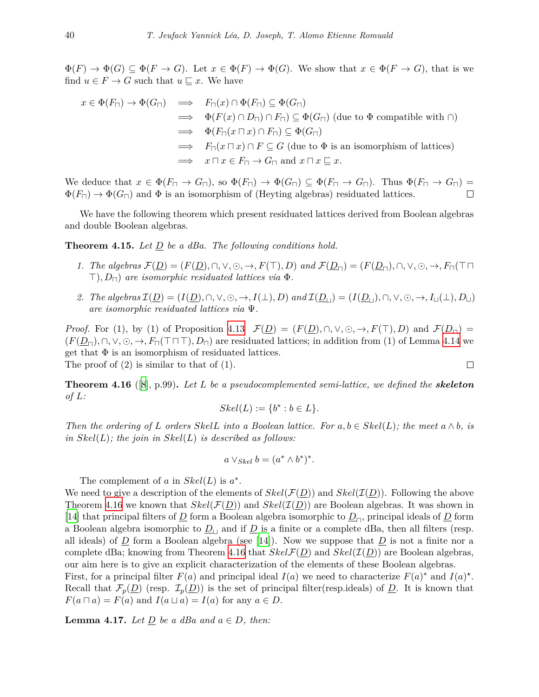$\Phi(F) \to \Phi(G) \subseteq \Phi(F \to G)$ . Let  $x \in \Phi(F) \to \Phi(G)$ . We show that  $x \in \Phi(F \to G)$ , that is we find  $u \in F \to G$  such that  $u \sqsubseteq x$ . We have

$$
x \in \Phi(F_{\sqcap}) \to \Phi(G_{\sqcap}) \implies F_{\sqcap}(x) \cap \Phi(F_{\sqcap}) \subseteq \Phi(G_{\sqcap})
$$
  
\n
$$
\implies \Phi(F(x) \cap D_{\sqcap}) \cap F_{\sqcap}) \subseteq \Phi(G_{\sqcap}) \text{ (due to } \Phi \text{ compatible with } \cap)
$$
  
\n
$$
\implies \Phi(F_{\sqcap}(x \sqcap x) \cap F_{\sqcap}) \subseteq \Phi(G_{\sqcap})
$$
  
\n
$$
\implies F_{\sqcap}(x \sqcap x) \cap F \subseteq G \text{ (due to } \Phi \text{ is an isomorphism of lattices)}
$$
  
\n
$$
\implies x \sqcap x \in F_{\sqcap} \to G_{\sqcap} \text{ and } x \sqcap x \sqsubseteq x.
$$

We deduce that  $x \in \Phi(F_{\Pi} \to G_{\Pi})$ , so  $\Phi(F_{\Pi}) \to \Phi(G_{\Pi}) \subseteq \Phi(F_{\Pi} \to G_{\Pi})$ . Thus  $\Phi(F_{\Pi} \to G_{\Pi}) = \Phi(F_{\Pi}) \to \Phi(G_{\Pi})$  and  $\Phi$  is an isomorphism of (Hevting algebras) residuated lattices.  $\Phi(F_{\Box}) \to \Phi(G_{\Box})$  and  $\Phi$  is an isomorphism of (Heyting algebras) residuated lattices.

We have the following theorem which present residuated lattices derived from Boolean algebras and double Boolean algebras.

**Theorem 4.15.** *Let D be a dBa. The following conditions hold.*

- 1. The algebras  $\mathcal{F}(\underline{D}) = (F(\underline{D}), \cap, \vee, \odot, \rightarrow, F(\top), D)$  and  $\mathcal{F}(\underline{D}_{\square}) = (F(\underline{D}_{\square}), \cap, \vee, \odot, \rightarrow, F_{\square}(\top \square))$ *>*)*, D⊓*) *are isomorphic residuated lattices via* Φ*.*
- 2. The algebras  $\mathcal{I}(\underline{D}) = (I(\underline{D}), \cap, \vee, \odot, \rightarrow, I(\bot), D)$  and  $\mathcal{I}(\underline{D}_{\Box}) = (I(\underline{D}_{\Box}), \cap, \vee, \odot, \rightarrow, I_{\Box}(\bot), D_{\Box})$ *are isomorphic residuated lattices via* Ψ*.*

*Proof.* For (1), by (1) of Proposition [4.13](#page-14-0)  $\mathcal{F}(\underline{D}) = (F(\underline{D}), \cap, \vee, \odot, \rightarrow, F(\top), D)$  and  $\mathcal{F}(\underline{D}_{\square}) =$  $(F(D_{\Pi}), \cap, \vee, \odot, \rightarrow, F_{\Pi}(\top \Pi \top), D_{\Pi}$  are residuated lattices; in addition from (1) of Lemma [4.14](#page-14-1) we get that  $\Phi$  is an isomorphism of residuated lattices.

The proof of  $(2)$  is similar to that of  $(1)$ .

<span id="page-15-0"></span>**Theorem 4.16** ([[8](#page-20-13)], p.99)**.** *Let L be a pseudocomplemented semi-lattice, we defined the skeleton of L:*

$$
Skel(L) := \{b^* : b \in L\}.
$$

*Then the ordering of L orders*  $SkelL$  *into a Boolean lattice. For*  $a, b \in Skel(L)$ *; the meet*  $a \wedge b$ *, is in Skel*(*L*)*; the join in Skel*(*L*) *is described as follows:*

$$
a \vee_{Skel} b = (a^* \wedge b^*)^*.
$$

The complement of *a* in  $Skel(L)$  is  $a^*$ .

We need to give a description of the elements of  $Skel(\mathcal{F}(\underline{D}))$  and  $Skel(\mathcal{I}(\underline{D}))$ . Following the above Theorem [4.16](#page-15-0) we known that  $Skel(\mathcal{F}(\underline{D}))$  and  $Skel(\mathcal{I}(\underline{D}))$  are Boolean algebras. It was shown in [[14\]](#page-20-4) that principal filters of *<sup>D</sup>* form a Boolean algebra isomorphic to *<sup>D</sup>⊓*, principal ideals of *<sup>D</sup>* form a Boolean algebra isomorphic to  $\underline{D}_\perp$  and if  $\underline{D}$  is a finite or a complete dBa, then all filters (resp. allideals) of  $\overline{D}$  form a Boolean algebra (see [[14\]](#page-20-4)). Now we suppose that  $\overline{D}$  is not a finite nor a complete dBa; knowing from Theorem [4.16](#page-15-0) that  $Skel(\mathcal{F}(D))$  and  $Skel(\mathcal{I}(D))$  are Boolean algebras, our aim here is to give an explicit characterization of the elements of these Boolean algebras. First, for a principal filter  $F(a)$  and principal ideal  $I(a)$  we need to characterize  $F(a)^*$  and  $I(a)^*$ . Recall that  $\mathcal{F}_p(\underline{D})$  (resp.  $\mathcal{I}_p(\underline{D})$ ) is the set of principal filter(resp.ideals) of <u>D</u>. It is known that  $F(a \sqcap a) = F(a)$  and  $I(a \sqcup a) = I(a)$  for any  $a \in D$ .

<span id="page-15-1"></span>**Lemma 4.17.** *Let*  $D$  *be a dBa and*  $a \in D$ *, then:* 

$$
\Box
$$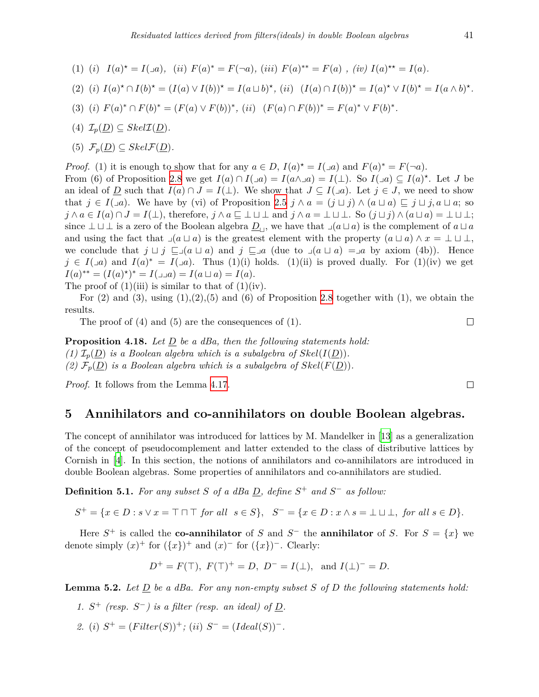- (1) (i)  $I(a)^* = I(\Box a)$ , (ii)  $F(a)^* = F(\neg a)$ , (iii)  $F(a)^{**} = F(a)$ , (iv)  $I(a)^{**} = I(a)$ .
- (2) (i)  $I(a)^* \cap I(b)^* = (I(a) \vee I(b))^* = I(a \sqcup b)^*$ , (ii)  $(I(a) \cap I(b))^* = I(a)^* \vee I(b)^* = I(a \wedge b)^*$ .
- (3) (i)  $F(a)^* \cap F(b)^* = (F(a) \vee F(b))^*$ , (ii)  $(F(a) \cap F(b))^* = F(a)^* \vee F(b)^*$ .
- $(4)$   $\mathcal{I}_p(D) \subseteq Skel\mathcal{I}(D)$ .
- (5)  $\mathcal{F}_n(D) \subseteq Skel\mathcal{F}(D)$ .

*Proof.* (1) it is enough to show that for any  $a \in D$ ,  $I(a)^* = I(\Box a)$  and  $F(a)^* = F(\neg a)$ . From (6) of Proposition [2.8](#page-6-2) we get  $I(a) \cap I(\Box a) = I(a \land \Box a) = I(\bot)$ . So  $I(\Box a) \subseteq I(a)^*$ . Let *J* be an ideal of <u>D</u> such that  $I(a) \cap J = I(\perp)$ . We show that  $J \subseteq I(\neg a)$ . Let  $j \in J$ , we need to show that  $j \in I(\Box a)$ . We have by (vi) of Proposition [2.5](#page-4-1)  $j \wedge a = (j \sqcup j) \wedge (a \sqcup a) \sqsubseteq j \sqcup j, a \sqcup a$ ; so  $j \wedge a \in I(a) \cap J = I(\perp)$ , therefore,  $j \wedge a \sqsubseteq \perp \sqcup \perp$  and  $j \wedge a = \perp \sqcup \perp$ . So  $(j \sqcup j) \wedge (a \sqcup a) = \perp \sqcup \perp$ ; since  $\bot \sqcup \bot$  is a zero of the Boolean algebra  $\underline{D}_\sqcup$ , we have that  $\Box(a \sqcup a)$  is the complement of  $a \sqcup a$ and using the fact that  $\lrcorner$ (*a*  $\sqcup$  *a*) is the greatest element with the property  $(a \sqcup a) \land x = \bot \sqcup \bot$ , we conclude that  $j \sqcup j \sqsubseteq (a \sqcup a)$  and  $j \sqsubseteq a$  (due to  $(a \sqcup a) = a$  by axiom (4b)). Hence  $j \in I(\Box a)$  and  $I(a)^* = I(\Box a)$ . Thus (1)(i) holds. (1)(ii) is proved dually. For (1)(iv) we get *I*(*a*)<sup>\*\*</sup> =  $(I(a)^{*})^* = I(\Box a) = I(a \sqcup a) = I(a).$ 

The proof of  $(1)(iii)$  is similar to that of  $(1)(iv)$ .

For  $(2)$  and  $(3)$ , using  $(1),(2),(5)$  and  $(6)$  of Proposition [2.8](#page-6-2) together with  $(1)$ , we obtain the results.

The proof of (4) and (5) are the consequences of (1).

**Proposition 4.18.** *Let D be a dBa, then the following statements hold: (1)*  $\mathcal{I}_p(\underline{D})$  *is a Boolean algebra which is a subalgebra of*  $Skel(I(D))$ *.* (2)  $\mathcal{F}_p(\underline{D})$  *is a Boolean algebra which is a subalgebra of*  $Skel(F(\underline{D}))$ *.* 

*Proof.* It follows from the Lemma [4.17](#page-15-1).

# <span id="page-16-0"></span>**5 Annihilators and co-annihilators on double Boolean algebras.**

The concept of annihilator was introduced for lattices by M. Mandelker in [[13\]](#page-20-14) as a generalization of the concept of pseudocomplement and latter extended to the class of distributive lattices by Cornish in [\[4\]](#page-20-15). In this section, the notions of annihilators and co-annihilators are introduced in double Boolean algebras. Some properties of annihilators and co-annihilators are studied.

**Definition 5.1.** *For any subset S of a dBa D, define S* <sup>+</sup> *and S − as follow:*

 $S^+ = \{x \in D : s \vee x = \top \cap \top \text{ for all } s \in S\}, S^- = \{x \in D : x \wedge s = \bot \sqcup \bot, \text{ for all } s \in D\}.$ 

Here  $S^+$  is called the **co-annihilator** of *S* and  $S^-$  the **annihilator** of *S*. For  $S = \{x\}$  we denote simply  $(x)^+$  for  $({x})^+$  and  $(x)^-$  for  $({x})^-$ . Clearly:

$$
D^+ = F(T)
$$
,  $F(T)^+ = D$ ,  $D^- = I(\perp)$ , and  $I(\perp)^- = D$ .

<span id="page-16-1"></span>**Lemma 5.2.** Let  $\underline{D}$  be a dBa. For any non-empty subset  $S$  of  $D$  the following statements hold:

- 1.  $S^+$  (resp.  $S^-$ ) is a filter (resp. an ideal) of  $D$ .
- *2.* (*i*)  $S^+ = (Filter(S))^+$ ; (*ii*)  $S^- = (Ideal(S))^-.$

$$
\Box
$$

 $\Box$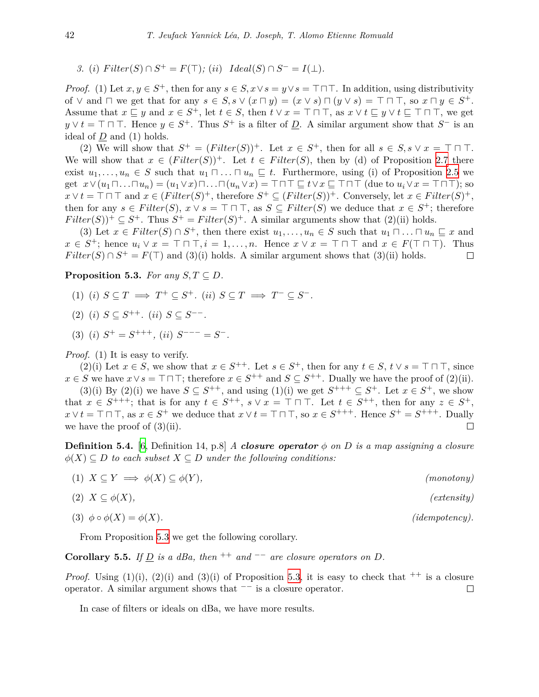3. (i) Filter
$$
(S) \cap S^+ = F(\top)
$$
; (ii) Ideal $(S) \cap S^- = I(\bot)$ .

*Proof.* (1) Let  $x, y \in S^+$ , then for any  $s \in S$ ,  $x \vee s = y \vee s = \top \top \top$ . In addition, using distributivity of  $\vee$  and  $\Box$  we get that for any  $s \in S$ ,  $s \vee (x \Box y) = (x \vee s) \Box (y \vee s) = \top \Box \top$ , so  $x \Box y \in S^+$ . Assume that  $x \subseteq y$  and  $x \in S^+$ , let  $t \in S$ , then  $t \vee x = \top \sqcap \top$ , as  $x \vee t \subseteq y \vee t \subseteq \top \sqcap \top$ , we get  $y \vee t = \top \sqcap \top$ . Hence  $y \in S^+$ . Thus  $S^+$  is a filter of  $\underline{D}$ . A similar argument show that  $S^-$  is an ideal of *D* and (1) holds.

(2) We will show that  $S^+ = (Filter(S))^+$ . Let  $x \in S^+$ , then for all  $s \in S$ ,  $s \vee x = \top \sqcap \top$ . We will show that  $x \in (Filter(S))^+$ . Let  $t \in Filter(S)$ , then by (d) of Proposition [2.7](#page-5-0) there exist  $u_1, \ldots, u_n \in S$  such that  $u_1 \sqcap \ldots \sqcap u_n \sqsubseteq t$ . Furthermore, using (i) of Proposition [2.5](#page-4-1) we get  $x \vee (u_1 \sqcap ... \sqcap u_n) = (u_1 \vee x) \sqcap ... \sqcap (u_n \vee x) = \top \sqcap \top \sqsubseteq t \vee x \sqsubseteq \top \sqcap \top$  (due to  $u_i \vee x = \top \sqcap \top$ ); so  $x \vee t = \top \sqcap \top$  and  $x \in (Filter(S)^{+}, \text{ therefore } S^{+} \subseteq (Filter(S))^{+}.$  Conversely, let  $x \in Filter(S)^{+},$ then for any  $s \in Filter(S), x \vee s = \top \sqcap \top$ , as  $S \subseteq Filter(S)$  we deduce that  $x \in S^+$ ; therefore  $Filter(S))^+ \subseteq S^+$ . Thus  $S^+ = Filter(S)^+$ . A similar arguments show that (2)(ii) holds.

(3) Let  $x \in Filter(S) \cap S^+$ , then there exist  $u_1, \ldots, u_n \in S$  such that  $u_1 \cap \ldots \cap u_n \subseteq x$  and  $x \in S^+$ ; hence  $u_i \vee x = \top \sqcap \top, i = 1, \ldots, n$ . Hence  $x \vee x = \top \sqcap \top$  and  $x \in F(\top \sqcap \top)$ . Thus *Filter*(*S*)  $\cap$  *S*<sup>+</sup> = *F*( $\top$ ) and (3)(i) holds. A similar argument shows that (3)(ii) holds.  $\Box$ 

<span id="page-17-0"></span>**Proposition 5.3.** *For any*  $S, T \subseteq D$ *.* 

- $(1)$   $(i)$   $S \subseteq T \implies T^+ \subseteq S^+$ .  $(ii)$   $S \subseteq T \implies T^- \subseteq S^-$ .
- $(2)$   $(i)$   $S \subseteq S^{++}$ *.*  $(ii)$   $S \subseteq S^{--}$ *.*
- $(3)$   $(i)$   $S^+ = S^{+++}$ ,  $(ii)$   $S^{---} = S^-$ .

*Proof.* (1) It is easy to verify.

(2)(i) Let  $x \in S$ , we show that  $x \in S^{++}$ . Let  $s \in S^+$ , then for any  $t \in S$ ,  $t \vee s = \top \sqcap \top$ , since *x* ∈ *S* we have *x*  $\vee$  *s* =  $\top$   $\top$   $\top$ ; therefore *x* ∈ *S*<sup>++</sup> and *S* ⊆ *S*<sup>++</sup>. Dually we have the proof of (2)(ii).

(3)(i) By (2)(i) we have  $S \subseteq S^{++}$ , and using (1)(i) we get  $S^{+++} \subseteq S^+$ . Let  $x \in S^+$ , we show that  $x \in S^{+++}$ ; that is for any  $t \in S^{++}$ ,  $s \vee x = \top \sqcap \top$ . Let  $t \in S^{++}$ , then for any  $z \in S^+$ ,  $x \vee t = \top \sqcap \top$ , as  $x \in S^+$  we deduce that  $x \vee t = \top \sqcap \top$ , so  $x \in S^{+++}$ . Hence  $S^+ = S^{+++}$ . Dually we have the proof of  $(3)(ii)$ .  $\Box$ 

**Definition 5.4.** [[6](#page-20-6), Definition 14, p.8] *A closure operator*  $\phi$  *on D is a map assigning a closure*  $\phi(X) \subseteq D$  *to each subset*  $X \subseteq D$  *under the following conditions:* 

(1)  $X \subseteq Y \implies \phi(X) \subseteq \phi(Y)$ , (monotony)

 $(extensity)$ 

 $(i\text{dempotency}).$ 

$$
(2) X \subseteq \phi(X),
$$

$$
(3) \ \phi \circ \phi(X) = \phi(X)
$$

From Proposition [5.3](#page-17-0) we get the following corollary.

### **Corollary 5.5.** *If*  $D$  *is a dBa, then* <sup>++</sup> *and*  $\neg$  *are closure operators on*  $D$ *.*

*Proof.* Using (1)(i), (2)(i) and (3)(i) of Proposition [5.3](#page-17-0), it is easy to check that  $^{++}$  is a closure operator. A similar argument shows that *−−* is a closure operator.  $\Box$ 

In case of filters or ideals on dBa, we have more results.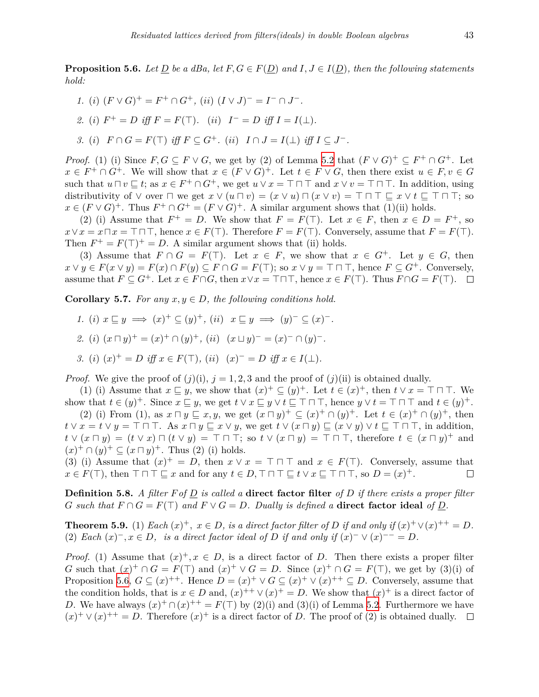<span id="page-18-0"></span>**Proposition 5.6.** *Let D be a dBa, let*  $F, G \in F(D)$  *and*  $I, J \in I(D)$ *, then the following statements hold:*

- *1.* (*i*)  $(F \vee G)^{+} = F^{+} \cap G^{+},$  (*ii*)  $(I \vee J)^{-} = I^{-} \cap J^{-}$ .
- *2.* (*i*)  $F^+ = D$  *iff*  $F = F(T)$ *.* (*ii*)  $I^- = D$  *iff*  $I = I(\perp)$ *.*
- 3. (i)  $F \cap G = F(\top)$  iff  $F \subseteq G^+$ . (ii)  $I \cap J = I(\bot)$  iff  $I \subseteq J^-$ .

*Proof.* (1) (i) Since  $F, G \subseteq F \vee G$ , we get by (2) of Lemma [5.2](#page-16-1) that  $(F \vee G)^{+} \subseteq F^{+} \cap G^{+}$ . Let  $x \in F^+ \cap G^+$ . We will show that  $x \in (F \vee G)^+$ . Let  $t \in F \vee G$ , then there exist  $u \in F, v \in G$ such that  $u \sqcap v \sqsubseteq t$ ; as  $x \in F^+ \cap G^+$ , we get  $u \lor x = \top \sqcap \top$  and  $x \lor v = \top \sqcap \top$ . In addition, using distributivity of  $\vee$  over  $\Box$  we get  $x \vee (u \Box v) = (x \vee u) \Box (x \vee v) = \top \Box \top \Box x \vee t \Box \top \Box \top$ ; so  $x \in (F \vee G)^+$ . Thus  $F^+ \cap G^+ = (F \vee G)^+$ . A similar argument shows that (1)(ii) holds.

(2) (i) Assume that  $F^+ = D$ . We show that  $F = F(T)$ . Let  $x \in F$ , then  $x \in D = F^+$ , so  $x \vee x = x \sqcap x = \top \sqcap \top$ , hence  $x \in F(\top)$ . Therefore  $F = F(\top)$ . Conversely, assume that  $F = F(\top)$ . Then  $F^+ = F(\top)^+ = D$ . A similar argument shows that (ii) holds.

(3) Assume that  $F \cap G = F(\top)$ . Let  $x \in F$ , we show that  $x \in G^+$ . Let  $y \in G$ , then  $x \vee y \in F(x \vee y) = F(x) \cap F(y) \subseteq F \cap G = F(\top)$ ; so  $x \vee y = \top \cap \top$ , hence  $F \subseteq G^+$ . Conversely, assume that  $F \subseteq G^+$ . Let  $x \in F \cap G$ , then  $x \vee x = \top \cap \top$ , hence  $x \in F(\top)$ . Thus  $F \cap G = F(\top)$ .  $\Box$ 

**Corollary 5.7.** *For any*  $x, y \in D$ *, the following conditions hold.* 

- *1.* (*i*)  $x \sqsubseteq y \implies (x)^{+} \subseteq (y)^{+}$ , (*ii*)  $x \sqsubseteq y \implies (y)^{-} \subseteq (x)^{-}$ .
- *2.* (*i*)  $(x \sqcap y)^{+} = (x)^{+} \cap (y)^{+}$ , (*ii*)  $(x \sqcup y)^{-} = (x)^{-} \cap (y)^{-}$ .
- *3.* (*i*)  $(x)^{+} = D$  *iff*  $x \in F(T)$ *,* (*ii*)  $(x)^{-} = D$  *iff*  $x \in I(\perp)$ *.*

*Proof.* We give the proof of  $(j)(i)$ ,  $j = 1, 2, 3$  and the proof of  $(j)(ii)$  is obtained dually.

(1) (i) Assume that  $x \subseteq y$ , we show that  $(x)^{+} \subseteq (y)^{+}$ . Let  $t \in (x)^{+}$ , then  $t \vee x = \top \sqcap \top$ . We show that  $t \in (y)^+$ . Since  $x \sqsubseteq y$ , we get  $t \vee x \sqsubseteq y \vee t \sqsubseteq \top \sqcap \top$ , hence  $y \vee t = \top \sqcap \top$  and  $t \in (y)^+$ . (2) (i) From (1), as  $x \sqcap y \sqsubseteq x, y$ , we get  $(x \sqcap y)^{+} \subseteq (x)^{+} \cap (y)^{+}$ . Let  $t \in (x)^{+} \cap (y)^{+}$ , then  $t \vee x = t \vee y = \top \sqcap \top$ . As  $x \sqcap y \sqsubseteq x \vee y$ , we get  $t \vee (x \sqcap y) \sqsubseteq (x \vee y) \vee t \sqsubseteq \top \sqcap \top$ , in addition,

 $t \vee (x \sqcap y) = (t \vee x) \sqcap (t \vee y) = \top \sqcap \top$ ; so  $t \vee (x \sqcap y) = \top \sqcap \top$ , therefore  $t \in (x \sqcap y)^{+}$  and  $(x)^+ \cap (y)^+ \subseteq (x \sqcap y)^+$ . Thus (2) (i) holds.

(3) (i) Assume that  $(x)^{+} = D$ , then  $x \vee x = \top \top \top$  and  $x \in F(\top)$ . Conversely, assume that  $x \in F(\top)$ , then  $\top \sqcap \top \sqsubseteq x$  and for any  $t \in D$ ,  $\top \sqcap \top \sqsubseteq t \vee x \sqsubseteq \top \sqcap \top$ , so  $D = (x)^{+}$ .  $\Box$ 

**Definition 5.8.** *A filter Fof D is called a* **direct factor filter** *of D if there exists a proper filter G* such that  $F \cap G = F(\top)$  and  $F \vee G = D$ . Dually is defined a **direct factor ideal** of *D*.

**Theorem 5.9.** (1) *Each*  $(x)^+$ *,*  $x \in D$ *, is a direct factor filter of D if and only if*  $(x)^+ \vee (x)^{++} = D$ *.*  $(2)$  *Each*  $(x)^{-}$ ,  $x \in D$ , *is a direct factor ideal of D if and only if*  $(x)^{-} \vee (x)^{--} = D$ .

*Proof.* (1) Assume that  $(x)^{+}$ ,  $x \in D$ , is a direct factor of *D*. Then there exists a proper filter *G* such that  $(x)^+ \cap G = F(\top)$  and  $(x)^+ \vee G = D$ . Since  $(x)^+ \cap G = F(\top)$ , we get by  $(3)(i)$  of Proposition [5.6,](#page-18-0)  $G \subseteq (x)^{++}$ . Hence  $D = (x)^{+} \vee G \subseteq (x)^{+} \vee (x)^{++} \subseteq D$ . Conversely, assume that the condition holds, that is  $x \in D$  and,  $(x)^{++} \vee (x)^{+} = D$ . We show that  $(x)^{+}$  is a direct factor of *D*. We have always  $(x)^+ \cap (x)^{++} = F(\top)$  by  $(2)(i)$  and  $(3)(i)$  of Lemma [5.2](#page-16-1). Furthermore we have  $(x)^+ \vee (x)^{++} = D$ . Therefore  $(x)^+$  is a direct factor of *D*. The proof of (2) is obtained dually.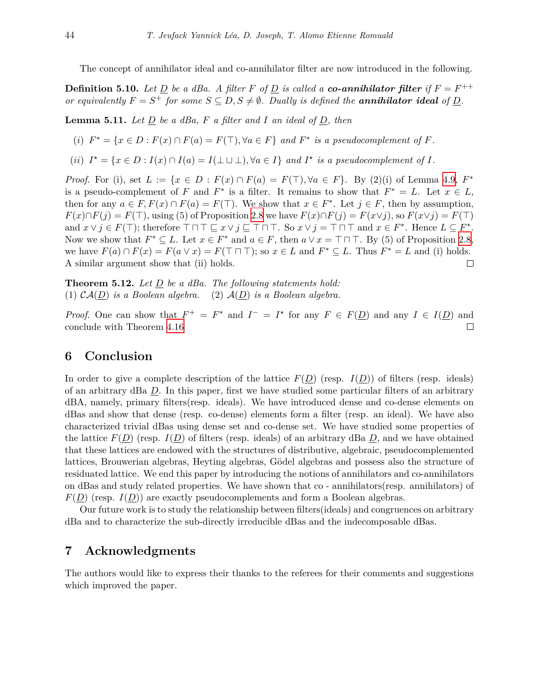The concept of annihilator ideal and co-annihilator filter are now introduced in the following.

**Definition 5.10.** Let <u>D</u> be a dBa. A filter F of <u>D</u> is called a **co-annihilator filter** if  $F = F^{++}$ *or equivalently*  $F = S^+$  *for some*  $S \subseteq D, S \neq \emptyset$ *. Dually is defined the annihilator ideal of <u>D</u><i>.* 

**Lemma 5.11.** *Let*  $\underline{D}$  *be a dBa,*  $F$  *a filter and*  $I$  *an ideal of*  $\underline{D}$ *, then* 

(i) 
$$
F^* = \{x \in D : F(x) \cap F(a) = F(\top), \forall a \in F\}
$$
 and  $F^*$  is a pseudocomplement of F.

(ii)  $I^* = \{x \in D : I(x) \cap I(a) = I(\perp \sqcup \perp), \forall a \in I\}$  and  $I^*$  is a pseudocomplement of I.

*Proof.* For (i), set  $L := \{x \in D : F(x) \cap F(a) = F(\top), \forall a \in F\}$ . By (2)(i) of Lemma [4.9](#page-12-0),  $F^*$ is a pseudo-complement of *F* and  $F^*$  is a filter. It remains to show that  $F^* = L$ . Let  $x \in L$ , then for any  $a \in F$ ,  $F(x) \cap F(a) = F(\top)$ . We show that  $x \in F^*$ . Let  $j \in F$ , then by assumption,  $F(x) \cap F(j) = F(\top)$ , using (5) of Proposition [2.8](#page-6-2) we have  $F(x) \cap F(j) = F(x \vee j)$ , so  $F(x \vee j) = F(\top)$ and  $x \vee j \in F(\top)$ ; therefore  $\top \sqcap \top \sqsubseteq x \vee j \sqsubseteq \top \sqcap \top$ . So  $x \vee j = \top \sqcap \top$  and  $x \in F^*$ . Hence  $L \subseteq F^*$ . Now we show that  $F^* \subseteq L$ . Let  $x \in F^*$  and  $a \in F$ , then  $a \vee x = \top \sqcap \top$ . By (5) of Proposition [2.8](#page-6-2), we have  $F(a) \cap F(x) = F(a \vee x) = F(\top \cap \top)$ ; so  $x \in L$  and  $F^* \subseteq L$ . Thus  $F^* = L$  and (i) holds. A similar argument show that (ii) holds.  $\Box$ 

**Theorem 5.12.** *Let D be a dBa. The following statements hold:* (1)  $CA(\underline{D})$  *is a Boolean algebra.* (2)  $A(\underline{D})$  *is a Boolean algebra.* 

*Proof.* One can show that  $F^+ = F^*$  and  $I^- = I^*$  for any  $F \in F(\underline{D})$  and any  $I \in I(\underline{D})$  and conclude with Theorem [4.16](#page-15-0)  $\Box$ 

# **6 Conclusion**

In order to give a complete description of the lattice  $F(D)$  (resp.  $I(D)$ ) of filters (resp. ideals) of an arbitrary dBa *D*. In this paper, first we have studied some particular filters of an arbitrary dBA, namely, primary filters(resp. ideals). We have introduced dense and co-dense elements on dBas and show that dense (resp. co-dense) elements form a filter (resp. an ideal). We have also characterized trivial dBas using dense set and co-dense set. We have studied some properties of the lattice  $F(D)$  (resp.  $I(D)$  of filters (resp. ideals) of an arbitrary dBa D, and we have obtained that these lattices are endowed with the structures of distributive, algebraic, pseudocomplemented lattices, Brouwerian algebras, Heyting algebras, Gödel algebras and possess also the structure of residuated lattice. We end this paper by introducing the notions of annihilators and co-annihilators on dBas and study related properties. We have shown that co - annihilators(resp. annihilators) of  $F(D)$  (resp.  $I(D)$ ) are exactly pseudocomplements and form a Boolean algebras.

Our future work is to study the relationship between filters(ideals) and congruences on arbitrary dBa and to characterize the sub-directly irreducible dBas and the indecomposable dBas.

# **7 Acknowledgments**

The authors would like to express their thanks to the referees for their comments and suggestions which improved the paper.